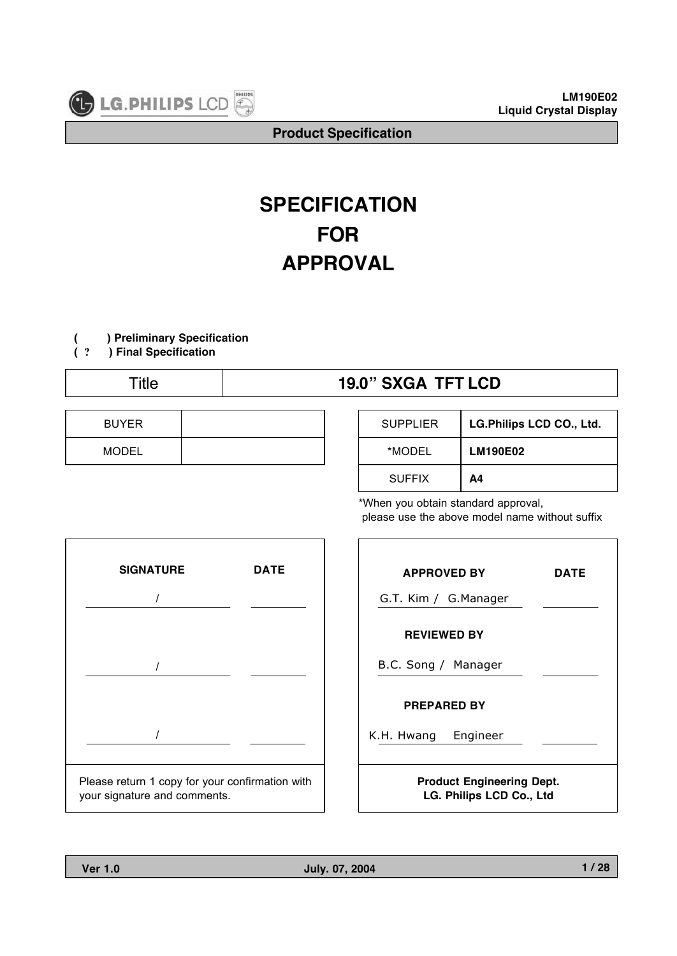

# **SPECIFICATION FOR APPROVAL**

# **( ) Preliminary Specification**

**( ? ) Final Specification**

# Title **19.0" SXGA TFT LCD**

| <b>BUYER</b> |  |
|--------------|--|
| <b>MODEL</b> |  |

| <b>SUPPLIER</b> | LG.Philips LCD CO., Ltd. |
|-----------------|--------------------------|
| *MODEL          | <b>LM190E02</b>          |
| <b>SUFFIX</b>   | Α4                       |

\*When you obtain standard approval, please use the above model name without suffix



| <b>APPROVED BY</b>                                           | <b>DATE</b> |  |  |  |  |
|--------------------------------------------------------------|-------------|--|--|--|--|
| G.T. Kim / G.Manager                                         |             |  |  |  |  |
| <b>REVIEWED BY</b>                                           |             |  |  |  |  |
| B.C. Song / Manager                                          |             |  |  |  |  |
| <b>PREPARED BY</b>                                           |             |  |  |  |  |
| Engineer<br>K.H. Hwang                                       |             |  |  |  |  |
| <b>Product Engineering Dept.</b><br>LG. Philips LCD Co., Ltd |             |  |  |  |  |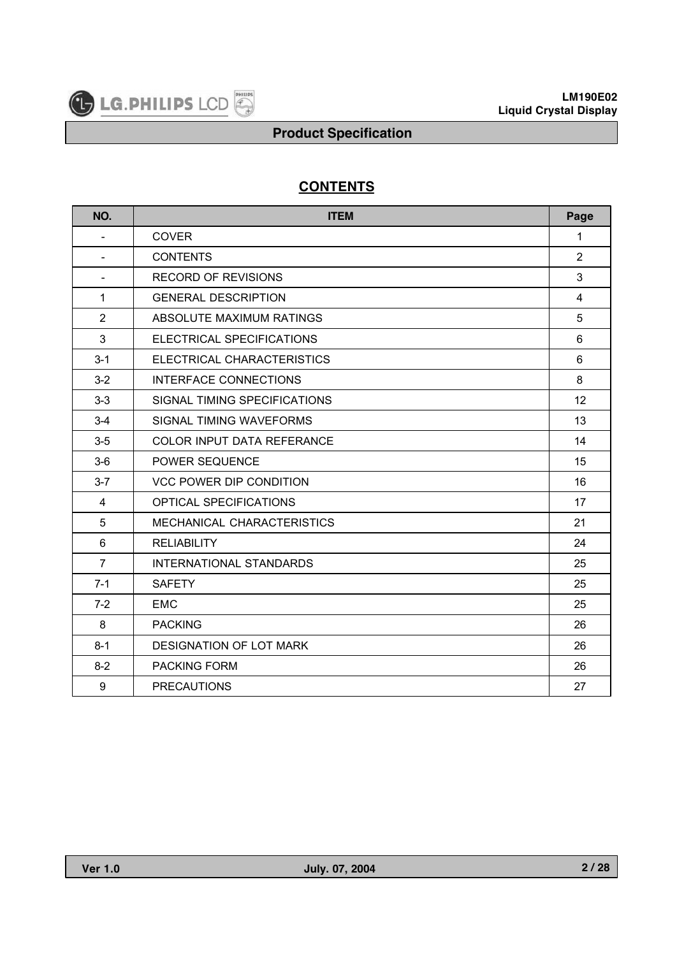

# **CONTENTS**

| NO.                      | <b>ITEM</b>                       | Page           |
|--------------------------|-----------------------------------|----------------|
| $\overline{\phantom{a}}$ | <b>COVER</b>                      | 1              |
|                          | <b>CONTENTS</b>                   | $\overline{2}$ |
| $\blacksquare$           | <b>RECORD OF REVISIONS</b>        | 3              |
| 1                        | <b>GENERAL DESCRIPTION</b>        | 4              |
| $\overline{2}$           | ABSOLUTE MAXIMUM RATINGS          | 5              |
| 3                        | ELECTRICAL SPECIFICATIONS         | 6              |
| $3 - 1$                  | ELECTRICAL CHARACTERISTICS        | 6              |
| $3-2$                    | <b>INTERFACE CONNECTIONS</b>      | 8              |
| $3-3$                    | SIGNAL TIMING SPECIFICATIONS      | 12             |
| $3-4$                    | SIGNAL TIMING WAVEFORMS           | 13             |
| $3-5$                    | <b>COLOR INPUT DATA REFERANCE</b> | 14             |
| $3-6$                    | POWER SEQUENCE                    | 15             |
| $3 - 7$                  | <b>VCC POWER DIP CONDITION</b>    | 16             |
| 4                        | <b>OPTICAL SPECIFICATIONS</b>     | 17             |
| 5                        | MECHANICAL CHARACTERISTICS        | 21             |
| 6                        | <b>RELIABILITY</b>                | 24             |
| $\overline{7}$           | <b>INTERNATIONAL STANDARDS</b>    | 25             |
| $7 - 1$                  | <b>SAFETY</b>                     | 25             |
| $7-2$                    | <b>FMC</b>                        | 25             |
| 8                        | <b>PACKING</b>                    | 26             |
| $8 - 1$                  | <b>DESIGNATION OF LOT MARK</b>    | 26             |
| $8 - 2$                  | PACKING FORM                      | 26             |
| 9                        | <b>PRECAUTIONS</b>                | 27             |

 $\overline{\phantom{a}}$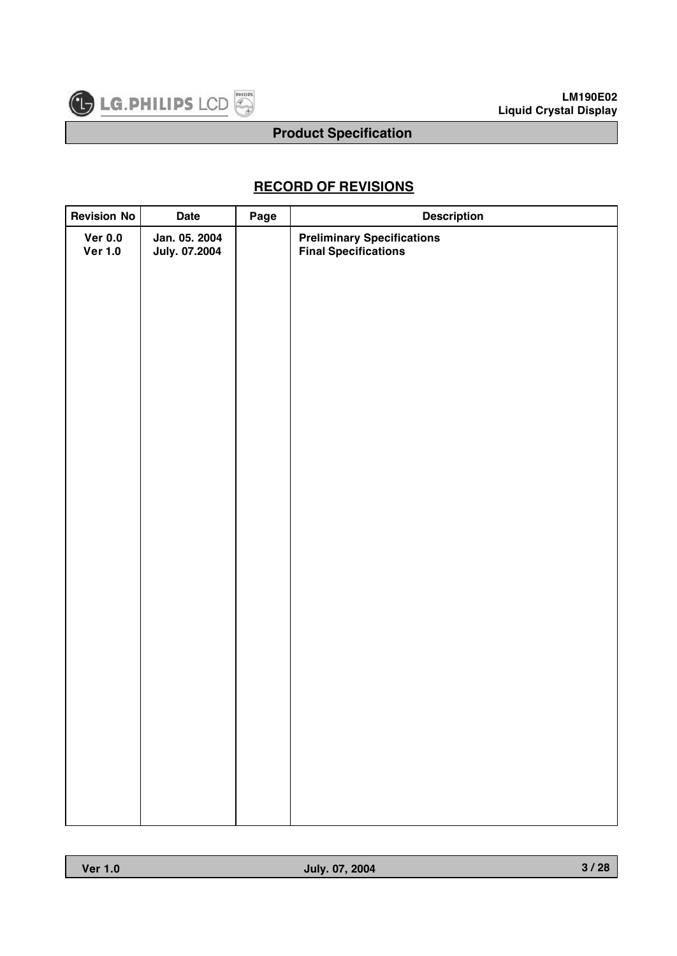

# **RECORD OF REVISIONS**

| <b>Revision No</b>          | <b>Date</b>                           | Page | <b>Description</b>                                               |
|-----------------------------|---------------------------------------|------|------------------------------------------------------------------|
| Ver $0.0$<br><b>Ver 1.0</b> | Jan. 05. 2004<br><b>July. 07.2004</b> |      | <b>Preliminary Specifications</b><br><b>Final Specifications</b> |
|                             |                                       |      |                                                                  |
|                             |                                       |      |                                                                  |
|                             |                                       |      |                                                                  |
|                             |                                       |      |                                                                  |
|                             |                                       |      |                                                                  |
|                             |                                       |      |                                                                  |
|                             |                                       |      |                                                                  |
|                             |                                       |      |                                                                  |
|                             |                                       |      |                                                                  |
|                             |                                       |      |                                                                  |
|                             |                                       |      |                                                                  |
|                             |                                       |      |                                                                  |
|                             |                                       |      |                                                                  |
|                             |                                       |      |                                                                  |
|                             |                                       |      |                                                                  |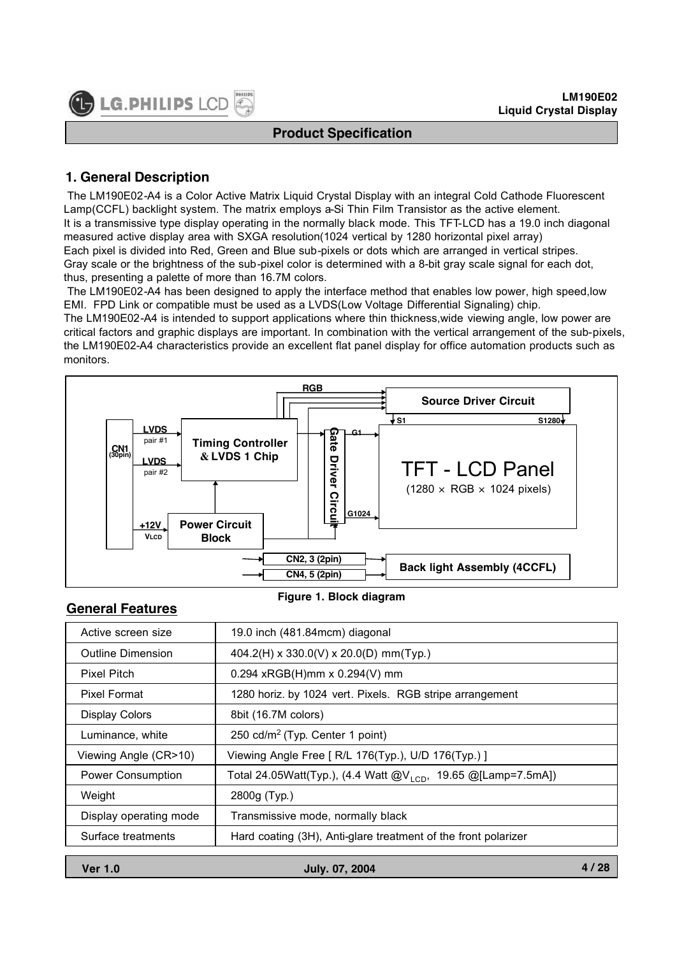

# **1. General Description**

The LM190E02-A4 is a Color Active Matrix Liquid Crystal Display with an integral Cold Cathode Fluorescent Lamp(CCFL) backlight system. The matrix employs a-Si Thin Film Transistor as the active element. It is a transmissive type display operating in the normally black mode. This TFT-LCD has a 19.0 inch diagonal measured active display area with SXGA resolution(1024 vertical by 1280 horizontal pixel array) Each pixel is divided into Red, Green and Blue sub-pixels or dots which are arranged in vertical stripes. Gray scale or the brightness of the sub-pixel color is determined with a 8-bit gray scale signal for each dot, thus, presenting a palette of more than 16.7M colors.

The LM190E02-A4 has been designed to apply the interface method that enables low power, high speed,low EMI. FPD Link or compatible must be used as a LVDS(Low Voltage Differential Signaling) chip.

The LM190E02-A4 is intended to support applications where thin thickness,wide viewing angle, low power are critical factors and graphic displays are important. In combination with the vertical arrangement of the sub-pixels, the LM190E02-A4 characteristics provide an excellent flat panel display for office automation products such as monitors.



#### **Figure 1. Block diagram**

#### **General Features**

| Active screen size       | 19.0 inch (481.84mcm) diagonal                                            |  |  |
|--------------------------|---------------------------------------------------------------------------|--|--|
| <b>Outline Dimension</b> | $404.2(H) \times 330.0(V) \times 20.0(D)$ mm(Typ.)                        |  |  |
| Pixel Pitch              | $0.294$ xRGB(H)mm x $0.294(V)$ mm                                         |  |  |
| <b>Pixel Format</b>      | 1280 horiz. by 1024 vert. Pixels. RGB stripe arrangement                  |  |  |
| <b>Display Colors</b>    | 8bit (16.7M colors)                                                       |  |  |
| Luminance, white         | 250 cd/m <sup>2</sup> (Typ. Center 1 point)                               |  |  |
| Viewing Angle (CR>10)    | Viewing Angle Free [ R/L 176(Typ.), U/D 176(Typ.) ]                       |  |  |
| <b>Power Consumption</b> | Total 24.05Watt(Typ.), (4.4 Watt @V <sub>1CD</sub> , 19.65 @[Lamp=7.5mA]) |  |  |
| Weight                   | 2800g (Typ.)                                                              |  |  |
| Display operating mode   | Transmissive mode, normally black                                         |  |  |
| Surface treatments       | Hard coating (3H), Anti-glare treatment of the front polarizer            |  |  |
|                          |                                                                           |  |  |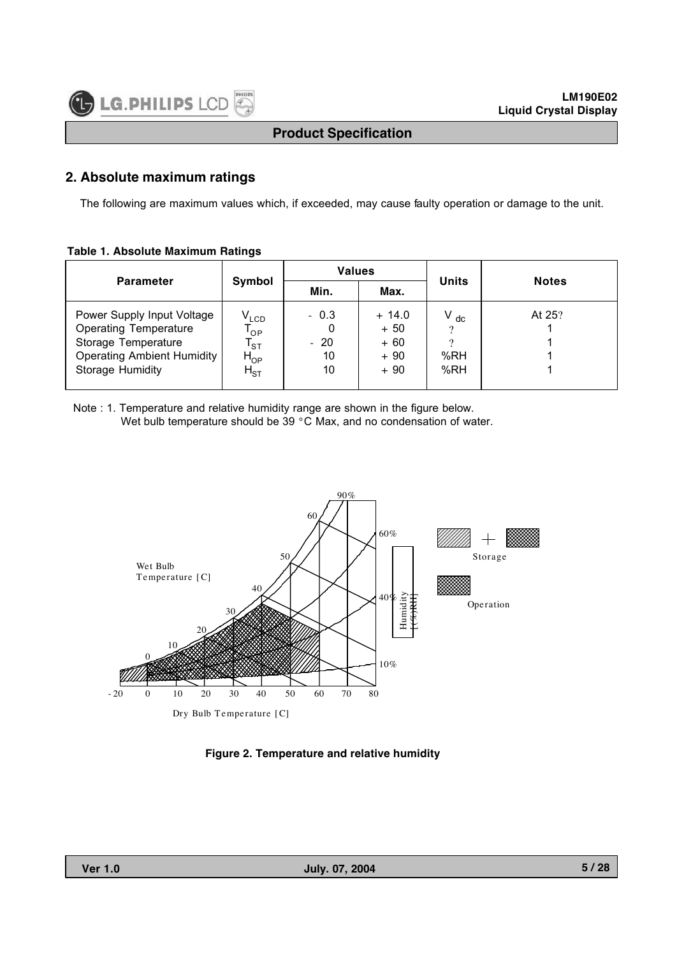#### **2. Absolute maximum ratings**

The following are maximum values which, if exceeded, may cause faulty operation or damage to the unit.

#### **Table 1. Absolute Maximum Ratings**

|                                                                                                                                            |                                                                             | <b>Values</b>               |                                             | <b>Units</b>           | <b>Notes</b> |  |
|--------------------------------------------------------------------------------------------------------------------------------------------|-----------------------------------------------------------------------------|-----------------------------|---------------------------------------------|------------------------|--------------|--|
| <b>Parameter</b>                                                                                                                           | Symbol                                                                      | Min.                        | Max.                                        |                        |              |  |
| Power Supply Input Voltage<br><b>Operating Temperature</b><br>Storage Temperature<br><b>Operating Ambient Humidity</b><br>Storage Humidity | V <sub>LCD</sub><br>'op<br>$\mathsf{I}_{\text{ST}}$<br>$H_{OP}$<br>$H_{ST}$ | $-0.3$<br>$-20$<br>10<br>10 | $+14.0$<br>$+50$<br>$+60$<br>$+90$<br>$+90$ | $V_{dc}$<br>%RH<br>%RH | At 25?       |  |

Note : 1. Temperature and relative humidity range are shown in the figure below. Wet bulb temperature should be 39 °C Max, and no condensation of water.



**Figure 2. Temperature and relative humidity**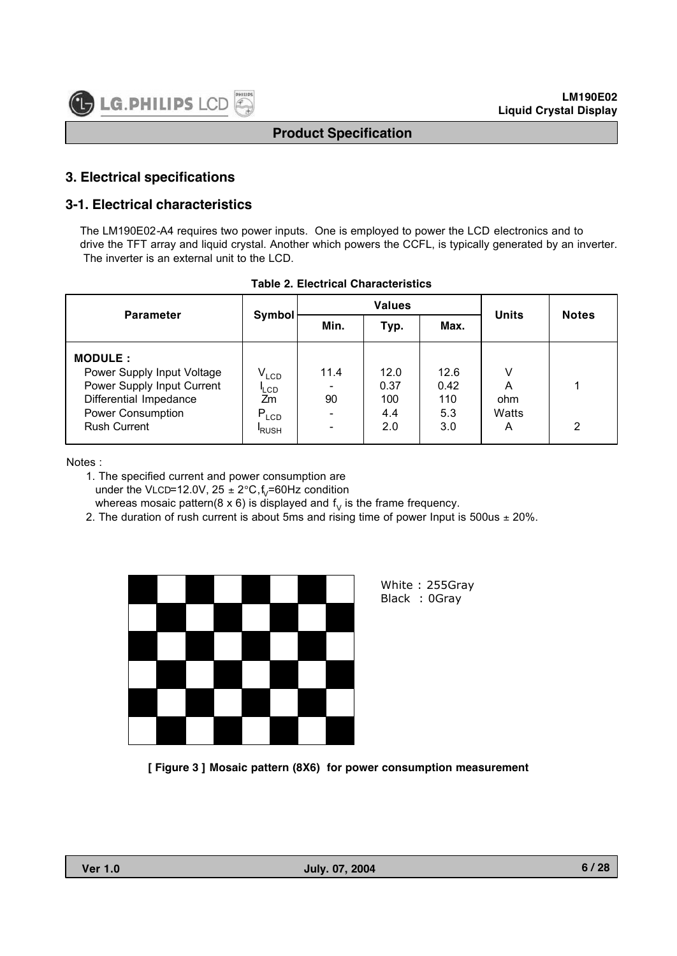# **3. Electrical specifications**

# **3-1. Electrical characteristics**

The LM190E02-A4 requires two power inputs. One is employed to power the LCD electronics and to drive the TFT array and liquid crystal. Another which powers the CCFL, is typically generated by an inverter. The inverter is an external unit to the LCD.

| <b>Parameter</b>                                                                                                                                 | Symbol                                                    | <b>Values</b> |                                   |                                   | <b>Units</b>                | <b>Notes</b> |
|--------------------------------------------------------------------------------------------------------------------------------------------------|-----------------------------------------------------------|---------------|-----------------------------------|-----------------------------------|-----------------------------|--------------|
|                                                                                                                                                  |                                                           | Min.          | Typ.                              | Max.                              |                             |              |
| <b>MODULE:</b><br>Power Supply Input Voltage<br>Power Supply Input Current<br>Differential Impedance<br>Power Consumption<br><b>Rush Current</b> | $V_{LCD}$<br><b>LCD</b><br>Zm<br>$P_{LCD}$<br><b>RUSH</b> | 11.4<br>90    | 12.0<br>0.37<br>100<br>4.4<br>2.0 | 12.6<br>0.42<br>110<br>5.3<br>3.0 | v<br>A<br>ohm<br>Watts<br>A | 2            |

|  | Table 2. Electrical Characteristics |
|--|-------------------------------------|
|  |                                     |

Notes :

1. The specified current and power consumption are under the VLCD=12.0V,  $25 \pm 2^{\circ}C$ , f<sub>V</sub>=60Hz condition whereas mosaic pattern(8 x 6) is displayed and  $f<sub>V</sub>$  is the frame frequency.

2. The duration of rush current is about 5ms and rising time of power Input is 500us  $\pm$  20%.



White : 255Gray Black : 0Gray

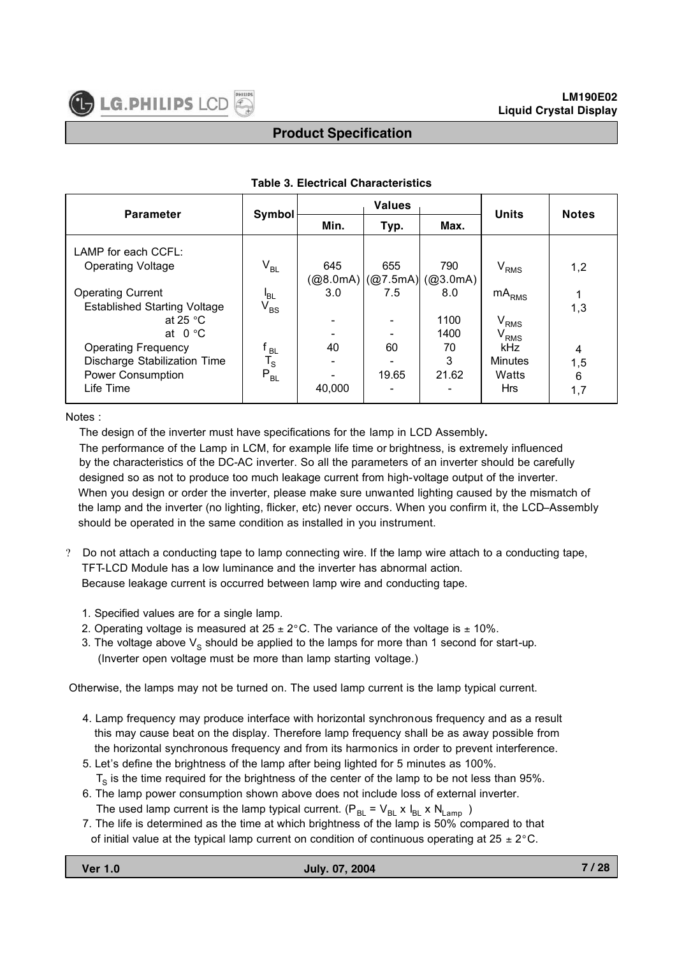| <b>Parameter</b>                    | Symbol                     | <b>Values</b> |       |                                                                                                    | <b>Units</b>    | <b>Notes</b> |  |
|-------------------------------------|----------------------------|---------------|-------|----------------------------------------------------------------------------------------------------|-----------------|--------------|--|
|                                     |                            | Min.          | Typ.  | Max.                                                                                               |                 |              |  |
| LAMP for each CCFL:                 |                            |               |       |                                                                                                    |                 |              |  |
| <b>Operating Voltage</b>            | $\rm V_{BL}$               | 645           | 655   | 790                                                                                                | $\rm V_{RMS}$   | 1,2          |  |
|                                     |                            |               |       | $(\textcircled{a}8.0 \text{mA})   (\textcircled{a}7.5 \text{mA})   (\textcircled{a}3.0 \text{mA})$ |                 |              |  |
| <b>Operating Current</b>            | 'BL                        | 3.0           | 7.5   | 8.0                                                                                                | m $A_{\rm RMS}$ |              |  |
| <b>Established Starting Voltage</b> | $\mathsf{V}_{\mathsf{BS}}$ |               |       |                                                                                                    |                 | 1,3          |  |
| at 25 $\degree$ C                   |                            |               |       | 1100                                                                                               | $\rm V_{RMS}$   |              |  |
| at $0^{\circ}$ C                    |                            |               |       | 1400                                                                                               | $\rm V_{RMS}$   |              |  |
| <b>Operating Frequency</b>          | <b>BL</b>                  | 40            | 60    | 70                                                                                                 | kHz             | 4            |  |
| Discharge Stabilization Time        | $T_S$                      |               |       | 3                                                                                                  | <b>Minutes</b>  | 1,5          |  |
| <b>Power Consumption</b>            | $\mathsf{P}_{\mathsf{BL}}$ |               | 19.65 | 21.62                                                                                              | Watts           | 6            |  |
| Life Time                           |                            | 40,000        |       |                                                                                                    | <b>Hrs</b>      | 1,7          |  |

#### **Table 3. Electrical Characteristics**

Notes :

The design of the inverter must have specifications for the lamp in LCD Assembly**.**

The performance of the Lamp in LCM, for example life time or brightness, is extremely influenced by the characteristics of the DC-AC inverter. So all the parameters of an inverter should be carefully designed so as not to produce too much leakage current from high-voltage output of the inverter. When you design or order the inverter, please make sure unwanted lighting caused by the mismatch of the lamp and the inverter (no lighting, flicker, etc) never occurs. When you confirm it, the LCD–Assembly should be operated in the same condition as installed in you instrument.

- ? Do not attach a conducting tape to lamp connecting wire. If the lamp wire attach to a conducting tape, TFT-LCD Module has a low luminance and the inverter has abnormal action. Because leakage current is occurred between lamp wire and conducting tape.
	- 1. Specified values are for a single lamp.
	- 2. Operating voltage is measured at  $25 \pm 2^{\circ}$ C. The variance of the voltage is  $\pm$  10%.
	- 3. The voltage above  $V_s$  should be applied to the lamps for more than 1 second for start-up. (Inverter open voltage must be more than lamp starting voltage.)

Otherwise, the lamps may not be turned on. The used lamp current is the lamp typical current.

- 4. Lamp frequency may produce interface with horizontal synchronous frequency and as a result this may cause beat on the display. Therefore lamp frequency shall be as away possible from the horizontal synchronous frequency and from its harmonics in order to prevent interference.
- 5. Let's define the brightness of the lamp after being lighted for 5 minutes as 100%.

 $T<sub>s</sub>$  is the time required for the brightness of the center of the lamp to be not less than 95%.

- 6. The lamp power consumption shown above does not include loss of external inverter. The used lamp current is the lamp typical current. ( $P_{BL} = V_{BL} \times I_{BL} \times N_{Lamp}$ )
- 7. The life is determined as the time at which brightness of the lamp is 50% compared to that of initial value at the typical lamp current on condition of continuous operating at  $25 \pm 2^{\circ}$ C.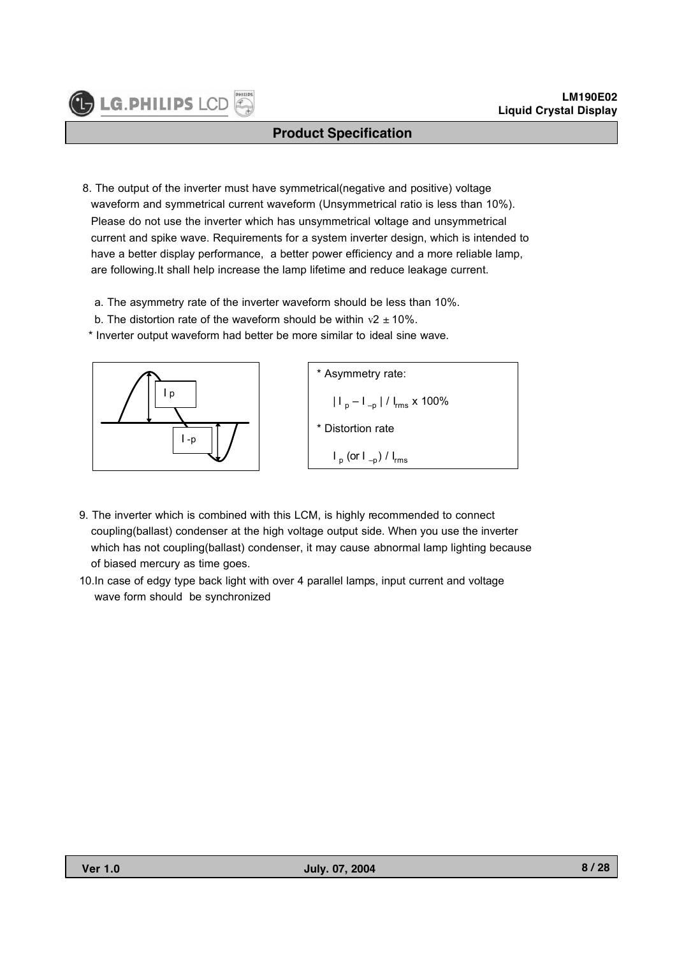- 8. The output of the inverter must have symmetrical(negative and positive) voltage waveform and symmetrical current waveform (Unsymmetrical ratio is less than 10%). Please do not use the inverter which has unsymmetrical voltage and unsymmetrical current and spike wave. Requirements for a system inverter design, which is intended to have a better display performance, a better power efficiency and a more reliable lamp, are following.It shall help increase the lamp lifetime and reduce leakage current.
	- a. The asymmetry rate of the inverter waveform should be less than 10%.
	- b. The distortion rate of the waveform should be within  $v^2 \pm 10\%$ .
	- \* Inverter output waveform had better be more similar to ideal sine wave.



**IF LG. PHILIPS L** 



- 9. The inverter which is combined with this LCM, is highly recommended to connect coupling(ballast) condenser at the high voltage output side. When you use the inverter which has not coupling(ballast) condenser, it may cause abnormal lamp lighting because of biased mercury as time goes.
- 10.In case of edgy type back light with over 4 parallel lamps, input current and voltage wave form should be synchronized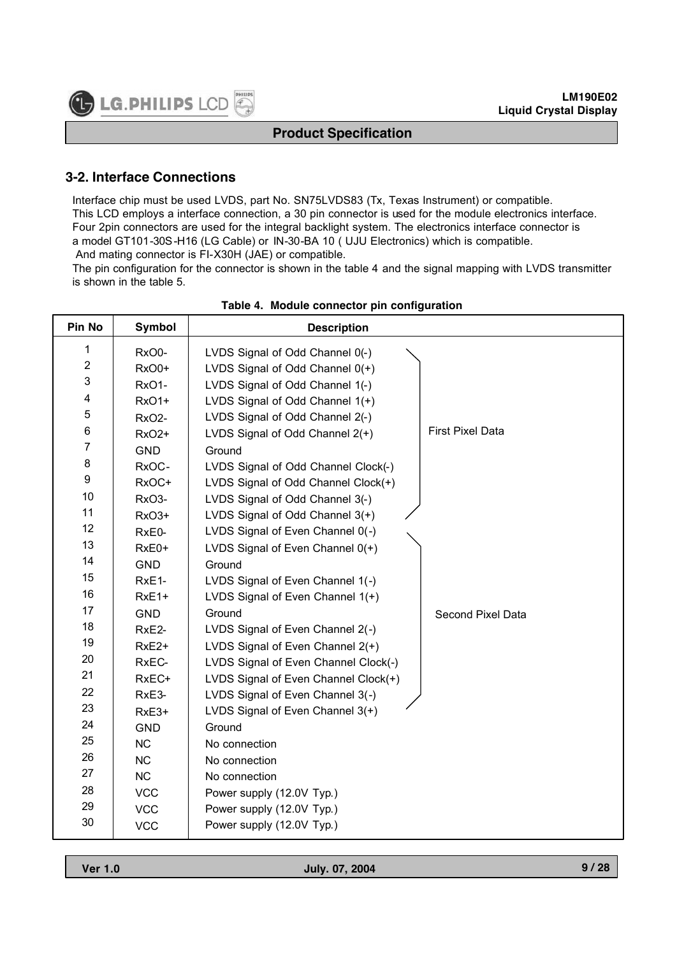# **3-2. Interface Connections**

Interface chip must be used LVDS, part No. SN75LVDS83 (Tx, Texas Instrument) or compatible. This LCD employs a interface connection, a 30 pin connector is used for the module electronics interface. Four 2pin connectors are used for the integral backlight system. The electronics interface connector is a model GT101-30S-H16 (LG Cable) or IN-30-BA 10 ( UJU Electronics) which is compatible. And mating connector is FI-X30H (JAE) or compatible.

The pin configuration for the connector is shown in the table 4 and the signal mapping with LVDS transmitter is shown in the table 5.

| Pin No                  | <b>Symbol</b>      | <b>Description</b>                                         |
|-------------------------|--------------------|------------------------------------------------------------|
| 1                       | RxO0-              | LVDS Signal of Odd Channel 0(-)                            |
| $\overline{2}$          | RxO0+              | LVDS Signal of Odd Channel $0(+)$                          |
| $\mathfrak{S}$          | RxO1-              | LVDS Signal of Odd Channel 1(-)                            |
| $\overline{\mathbf{4}}$ | <b>RxO1+</b>       | LVDS Signal of Odd Channel 1(+)                            |
| 5                       | RxO <sub>2</sub> - | LVDS Signal of Odd Channel 2(-)                            |
| $\,6$                   | <b>RxO2+</b>       | <b>First Pixel Data</b><br>LVDS Signal of Odd Channel 2(+) |
| $\overline{7}$          | <b>GND</b>         | Ground                                                     |
| $\bf 8$                 | RxOC-              | LVDS Signal of Odd Channel Clock(-)                        |
| $\boldsymbol{9}$        | RxOC+              | LVDS Signal of Odd Channel Clock(+)                        |
| 10                      | RxO3-              | LVDS Signal of Odd Channel 3(-)                            |
| 11                      | RxO3+              | LVDS Signal of Odd Channel 3(+)                            |
| 12                      | RxE0-              | LVDS Signal of Even Channel 0(-)                           |
| 13                      | $RxE0+$            | LVDS Signal of Even Channel 0(+)                           |
| 14                      | <b>GND</b>         | Ground                                                     |
| 15                      | RxE1-              | LVDS Signal of Even Channel 1(-)                           |
| 16                      | RxE1+              | LVDS Signal of Even Channel 1(+)                           |
| 17                      | <b>GND</b>         | Ground<br>Second Pixel Data                                |
| 18                      | RxE2-              | LVDS Signal of Even Channel 2(-)                           |
| 19                      | RxE <sub>2+</sub>  | LVDS Signal of Even Channel 2(+)                           |
| 20                      | RxEC-              | LVDS Signal of Even Channel Clock(-)                       |
| 21                      | RxEC+              | LVDS Signal of Even Channel Clock(+)                       |
| 22                      | RxE3-              | LVDS Signal of Even Channel 3(-)                           |
| 23                      | RxE3+              | LVDS Signal of Even Channel 3(+)                           |
| 24                      | <b>GND</b>         | Ground                                                     |
| 25                      | <b>NC</b>          | No connection                                              |
| 26                      | NC                 | No connection                                              |
| 27                      | <b>NC</b>          | No connection                                              |
| 28                      | <b>VCC</b>         | Power supply (12.0V Typ.)                                  |
| 29                      | <b>VCC</b>         | Power supply (12.0V Typ.)                                  |
| 30                      | <b>VCC</b>         | Power supply (12.0V Typ.)                                  |

#### **Table 4. Module connector pin configuration**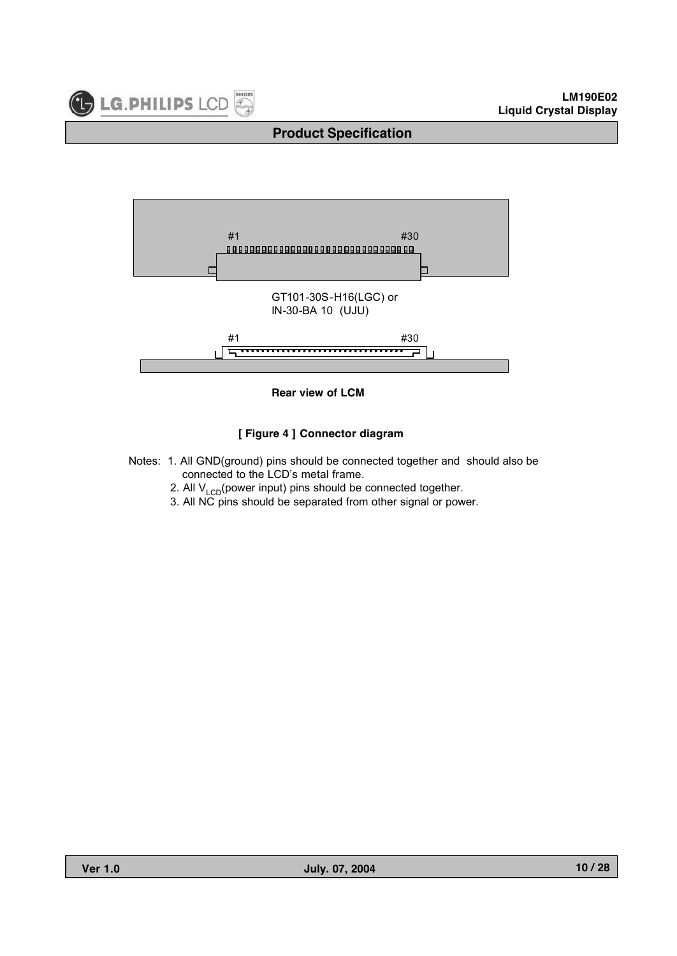





#### **[ Figure 4 ] Connector diagram**

- Notes: 1. All GND(ground) pins should be connected together and should also be connected to the LCD's metal frame.
	- 2. All  $V_{LCD}$ (power input) pins should be connected together.
	- 3. All NC pins should be separated from other signal or power.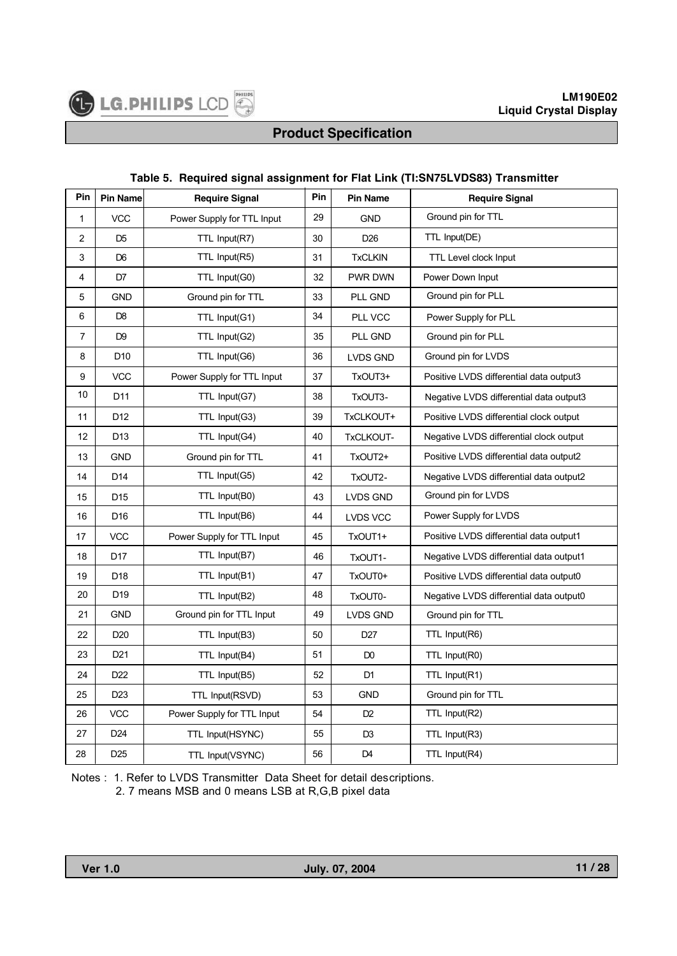#### **Table 5. Required signal assignment for Flat Link (TI:SN75LVDS83) Transmitter**

| Pin                     | <b>Pin Name</b> | <b>Require Signal</b>      | Pin | <b>Pin Name</b> | <b>Require Signal</b>                   |
|-------------------------|-----------------|----------------------------|-----|-----------------|-----------------------------------------|
| 1                       | <b>VCC</b>      | Power Supply for TTL Input | 29  | <b>GND</b>      | Ground pin for TTL                      |
| $\overline{\mathbf{c}}$ | D <sub>5</sub>  | TTL Input(R7)              | 30  | D <sub>26</sub> | TTL Input(DE)                           |
| 3                       | D <sub>6</sub>  | TTL Input(R5)              | 31  | <b>TxCLKIN</b>  | <b>TTL Level clock Input</b>            |
| 4                       | D7              | TTL Input(G0)              | 32  | PWR DWN         | Power Down Input                        |
| 5                       | GND             | Ground pin for TTL         | 33  | PLL GND         | Ground pin for PLL                      |
| 6                       | D <sub>8</sub>  | TTL Input(G1)              | 34  | PLL VCC         | Power Supply for PLL                    |
| $\overline{7}$          | D <sub>9</sub>  | TTL Input(G2)              | 35  | PLL GND         | Ground pin for PLL                      |
| 8                       | D <sub>10</sub> | TTL Input(G6)              | 36  | <b>LVDS GND</b> | Ground pin for LVDS                     |
| 9                       | <b>VCC</b>      | Power Supply for TTL Input | 37  | TxOUT3+         | Positive LVDS differential data output3 |
| 10                      | D <sub>11</sub> | TTL Input(G7)              | 38  | TxOUT3-         | Negative LVDS differential data output3 |
| 11                      | D12             | TTL Input(G3)              | 39  | TxCLKOUT+       | Positive LVDS differential clock output |
| 12                      | D <sub>13</sub> | TTL Input(G4)              | 40  | TxCLKOUT-       | Negative LVDS differential clock output |
| 13                      | <b>GND</b>      | Ground pin for TTL         | 41  | TxOUT2+         | Positive LVDS differential data output2 |
| 14                      | D <sub>14</sub> | TTL Input(G5)              | 42  | TxOUT2-         | Negative LVDS differential data output2 |
| 15                      | D <sub>15</sub> | TTL Input(B0)              | 43  | <b>LVDS GND</b> | Ground pin for LVDS                     |
| 16                      | D <sub>16</sub> | TTL Input(B6)              | 44  | <b>LVDS VCC</b> | Power Supply for LVDS                   |
| 17                      | <b>VCC</b>      | Power Supply for TTL Input | 45  | TxOUT1+         | Positive LVDS differential data output1 |
| 18                      | D <sub>17</sub> | TTL Input(B7)              | 46  | TxOUT1-         | Negative LVDS differential data output1 |
| 19                      | D <sub>18</sub> | TTL Input(B1)              | 47  | TxOUT0+         | Positive LVDS differential data output0 |
| 20                      | D <sub>19</sub> | TTL Input(B2)              | 48  | TxOUT0-         | Negative LVDS differential data output0 |
| 21                      | <b>GND</b>      | Ground pin for TTL Input   | 49  | LVDS GND        | Ground pin for TTL                      |
| 22                      | D <sub>20</sub> | TTL Input(B3)              | 50  | D <sub>27</sub> | TTL Input(R6)                           |
| 23                      | D <sub>21</sub> | TTL Input(B4)              | 51  | D <sub>0</sub>  | TTL Input(R0)                           |
| 24                      | D <sub>22</sub> | TTL Input(B5)              | 52  | D <sub>1</sub>  | TTL Input(R1)                           |
| 25                      | D <sub>23</sub> | TTL Input(RSVD)            | 53  | <b>GND</b>      | Ground pin for TTL                      |
| 26                      | <b>VCC</b>      | Power Supply for TTL Input | 54  | D <sub>2</sub>  | TTL Input(R2)                           |
| 27                      | D <sub>24</sub> | TTL Input(HSYNC)           | 55  | D <sub>3</sub>  | TTL Input(R3)                           |
| 28                      | D <sub>25</sub> | TTL Input(VSYNC)           | 56  | D <sub>4</sub>  | TTL Input(R4)                           |

Notes : 1. Refer to LVDS Transmitter Data Sheet for detail descriptions.

2. 7 means MSB and 0 means LSB at R,G,B pixel data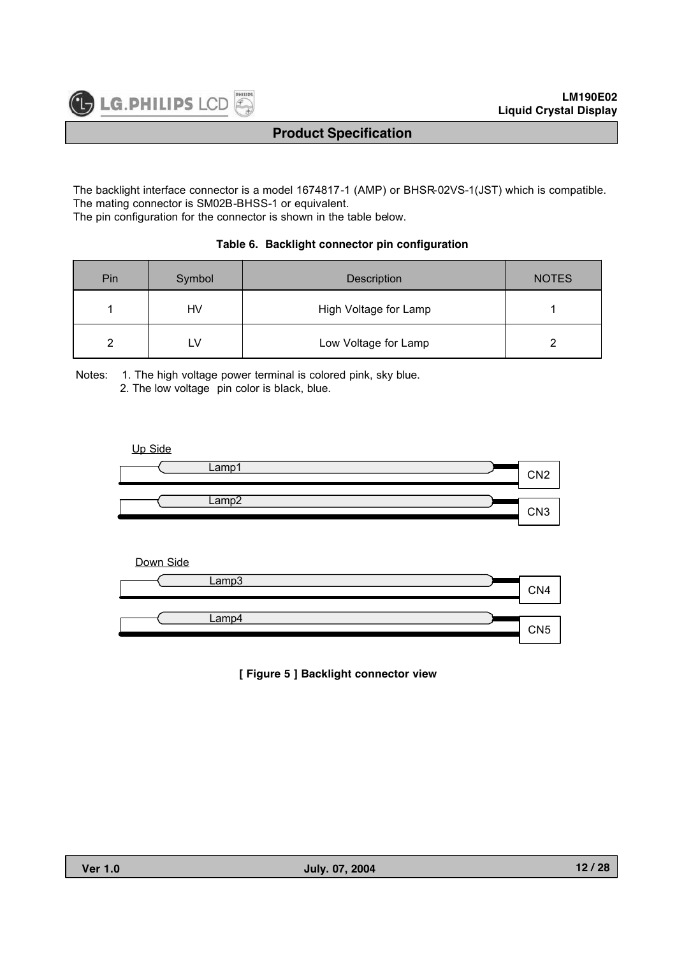The backlight interface connector is a model 1674817-1 (AMP) or BHSR-02VS-1(JST) which is compatible. The mating connector is SM02B-BHSS-1 or equivalent.

The pin configuration for the connector is shown in the table below.

#### **Table 6. Backlight connector pin configuration**

| Pin | Symbol | Description           | <b>NOTES</b> |
|-----|--------|-----------------------|--------------|
|     | HV     | High Voltage for Lamp |              |
|     | ∟∨     | Low Voltage for Lamp  |              |

Notes: 1. The high voltage power terminal is colored pink, sky blue.

2. The low voltage pin color is black, blue.

#### Up Side



#### Down Side



#### **[ Figure 5 ] Backlight connector view**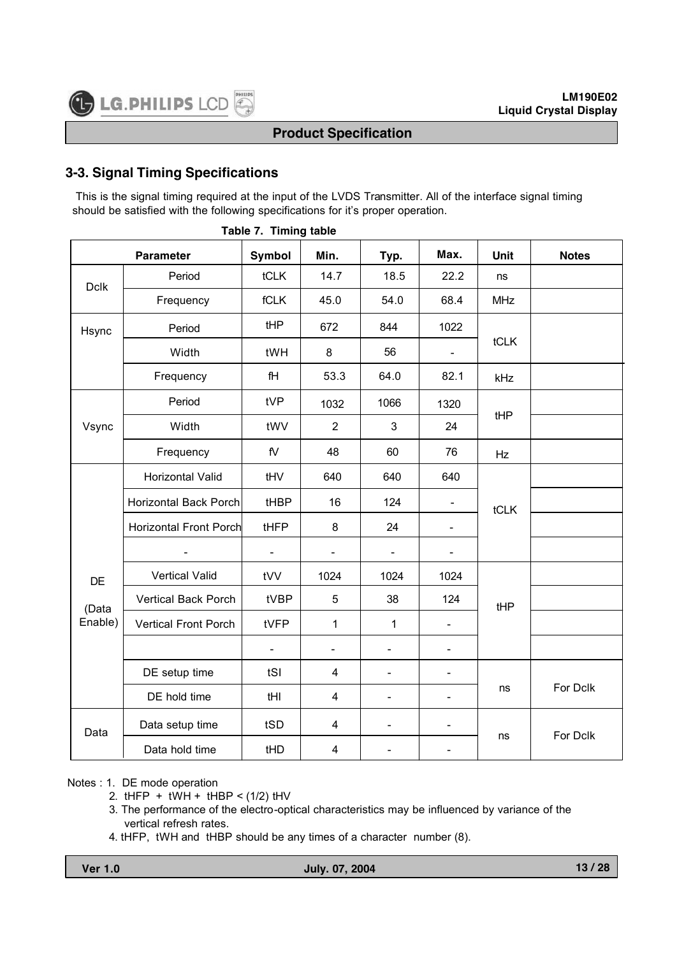# **3-3. Signal Timing Specifications**

This is the signal timing required at the input of the LVDS Transmitter. All of the interface signal timing should be satisfied with the following specifications for it's proper operation.

|             | <b>Parameter</b>             | Symbol                       | Min.                    | Typ.                     | Max.                     | Unit       | <b>Notes</b> |
|-------------|------------------------------|------------------------------|-------------------------|--------------------------|--------------------------|------------|--------------|
| <b>Dclk</b> | Period                       | tCLK                         | 14.7                    | 18.5                     | 22.2                     | ns         |              |
|             | Frequency                    | fCLK                         | 45.0                    | 54.0                     | 68.4                     | <b>MHz</b> |              |
| Hsync       | Period                       | tHP                          | 672                     | 844                      | 1022                     |            |              |
|             | Width                        | tWH                          | 8                       | 56                       |                          | tCLK       |              |
|             | Frequency                    | fH                           | 53.3                    | 64.0                     | 82.1                     | kHz        |              |
|             | Period                       | tVP                          | 1032                    | 1066                     | 1320                     |            |              |
| Vsync       | Width                        | tWV                          | $\overline{2}$          | 3                        | 24                       | tHP        |              |
|             | Frequency                    | $\mathsf{f}\mathsf{V}$       | 48                      | 60                       | 76                       | Hz         |              |
|             | Horizontal Valid             | tHV                          | 640                     | 640                      | 640                      |            |              |
|             | <b>Horizontal Back Porch</b> | tHBP                         | 16                      | 124                      |                          | tCLK       |              |
|             | Horizontal Front Porch       | tHFP                         | 8                       | 24                       | $\overline{\phantom{a}}$ |            |              |
|             |                              | $\qquad \qquad \blacksquare$ |                         |                          |                          |            |              |
| <b>DE</b>   | <b>Vertical Valid</b>        | tVV                          | 1024                    | 1024                     | 1024                     |            |              |
| (Data       | Vertical Back Porch          | tVBP                         | 5                       | 38                       | 124                      | tHP        |              |
| Enable)     | <b>Vertical Front Porch</b>  | tVFP                         | $\mathbf{1}$            | 1                        | $\overline{\phantom{a}}$ |            |              |
|             |                              | $\overline{a}$               | $\frac{1}{2}$           | $\overline{a}$           | $\overline{\phantom{0}}$ |            |              |
|             | DE setup time                | tSI                          | $\overline{4}$          | $\overline{\phantom{0}}$ | $\overline{\phantom{a}}$ |            |              |
|             | DE hold time                 | tHI                          | $\overline{\mathbf{4}}$ | $\overline{\phantom{0}}$ | $\blacksquare$           | ns         | For Dclk     |
| Data        | Data setup time              | tSD                          | $\overline{\mathbf{4}}$ | $\overline{\phantom{0}}$ | $\overline{\phantom{a}}$ |            |              |
|             | Data hold time               | tHD                          | $\overline{\mathbf{4}}$ |                          |                          | ns         | For Dclk     |

**Table 7. Timing table**

#### Notes : 1. DE mode operation

- 2.  $t$ HFP +  $t$ WH +  $t$ HBP <  $(1/2)$   $t$ HV
- 3. The performance of the electro-optical characteristics may be influenced by variance of the vertical refresh rates.
- 4. tHFP, tWH and tHBP should be any times of a character number (8).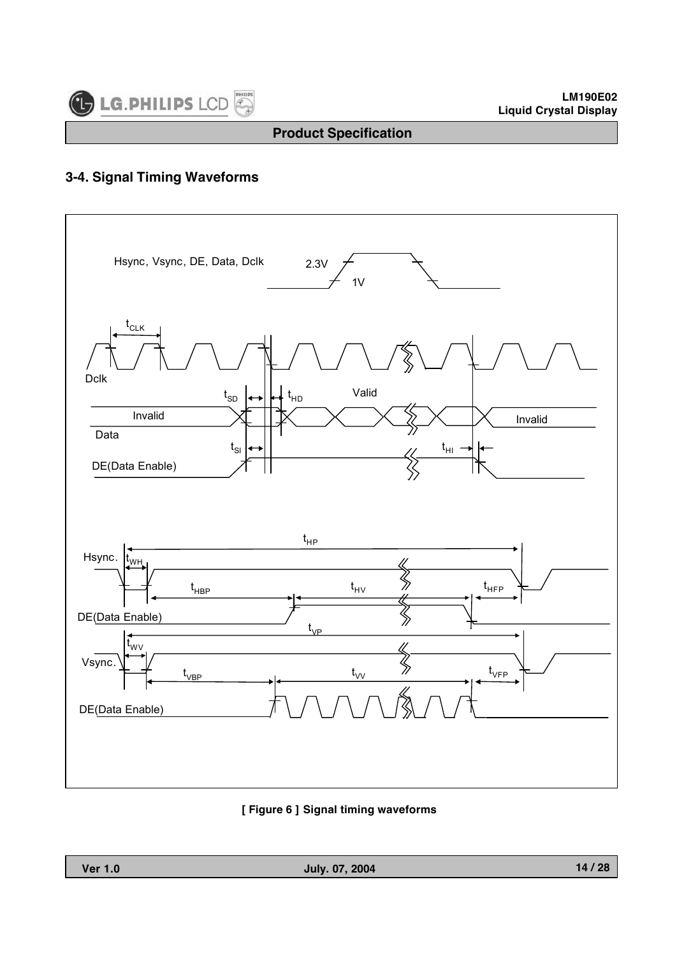

#### **LM190E02 Liquid Crystal Display**

# **Product Specification**

# **3-4. Signal Timing Waveforms**



#### **[ Figure 6 ] Signal timing waveforms**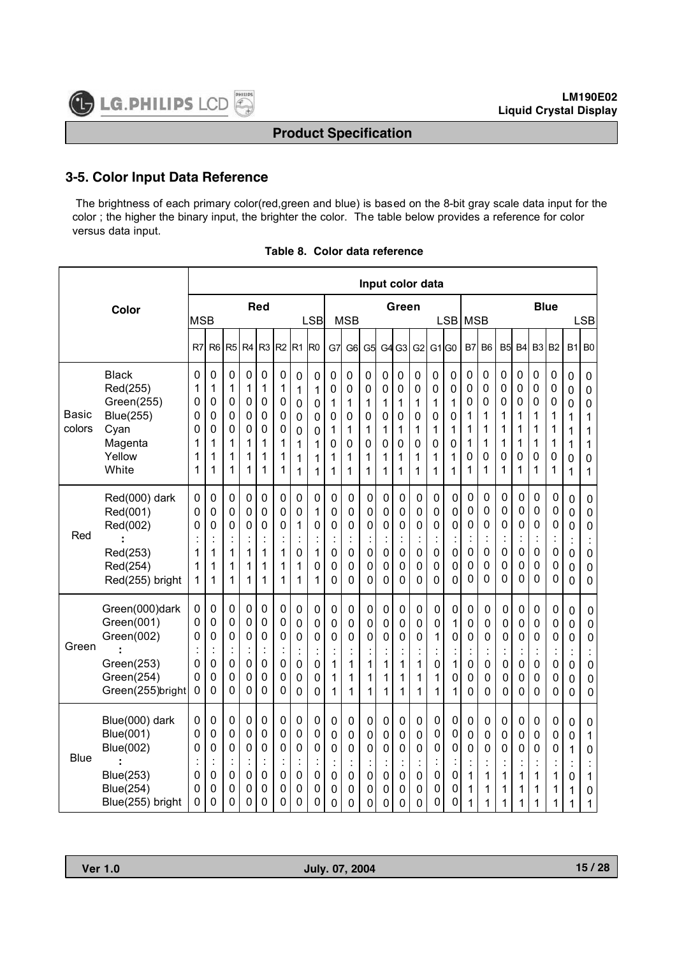#### **3-5. Color Input Data Reference**

The brightness of each primary color(red,green and blue) is based on the 8-bit gray scale data input for the color ; the higher the binary input, the brighter the color. The table below provides a reference for color versus data input.

|                 |                                                                                                             |                                      |                                                                                      |                                                                |                                              |                                                                                                        |                                      |                                                                  |                                                        |                                              |                                                                          |                                      |                                                                    |                                                                    |                                                                  | Input color data                                                   |                                                      |                                                                  |                                                                                      |                                                               |                                              |                                                                                                |                                                                  |                                              |                                                                              |
|-----------------|-------------------------------------------------------------------------------------------------------------|--------------------------------------|--------------------------------------------------------------------------------------|----------------------------------------------------------------|----------------------------------------------|--------------------------------------------------------------------------------------------------------|--------------------------------------|------------------------------------------------------------------|--------------------------------------------------------|----------------------------------------------|--------------------------------------------------------------------------|--------------------------------------|--------------------------------------------------------------------|--------------------------------------------------------------------|------------------------------------------------------------------|--------------------------------------------------------------------|------------------------------------------------------|------------------------------------------------------------------|--------------------------------------------------------------------------------------|---------------------------------------------------------------|----------------------------------------------|------------------------------------------------------------------------------------------------|------------------------------------------------------------------|----------------------------------------------|------------------------------------------------------------------------------|
|                 | Color                                                                                                       | <b>MSB</b>                           |                                                                                      |                                                                |                                              | <b>Red</b>                                                                                             |                                      |                                                                  | <b>LSB</b>                                             |                                              | <b>MSB</b>                                                               |                                      |                                                                    | Green                                                              |                                                                  |                                                                    | LSB                                                  | <b>MSB</b>                                                       |                                                                                      |                                                               |                                              |                                                                                                | <b>Blue</b>                                                      |                                              | <b>LSB</b>                                                                   |
|                 |                                                                                                             | R <sub>7</sub>                       | R <sub>6</sub>                                                                       | R <sub>5</sub>                                                 | R <sub>4</sub>                               | R <sub>3</sub>                                                                                         | R <sub>2</sub>                       | R <sub>1</sub>                                                   | R <sub>0</sub>                                         | G7                                           | G <sub>6</sub>                                                           | G5                                   | G <sub>4</sub>                                                     | G <sub>3</sub>                                                     | G <sub>2</sub>                                                   | G1 G0                                                              |                                                      | B7                                                               | B <sub>6</sub>                                                                       | B <sub>5</sub>                                                | <b>B4</b>                                    | B3                                                                                             | B <sub>2</sub>                                                   |                                              | $B1$ B <sub>0</sub>                                                          |
| Basic<br>colors | <b>Black</b><br>Red(255)<br>Green(255)<br><b>Blue(255)</b><br>Cyan<br>Magenta<br>Yellow<br>White            | 0<br>1<br>0<br>0<br>0<br>1<br>1<br>1 | $\mathbf 0$<br>1<br>0<br>0<br>$\mathbf 0$<br>1<br>1<br>1                             | 0<br>1<br>0<br>0<br>0<br>1<br>1<br>1                           | 0<br>1<br>0<br>0<br>0<br>1<br>1<br>1         | $\mathbf 0$<br>1<br>0<br>0<br>$\mathbf 0$<br>1<br>1<br>1                                               | 0<br>1<br>0<br>0<br>0<br>1<br>1<br>1 | $\mathbf 0$<br>1<br>0<br>0<br>0<br>1<br>1<br>1                   | 0<br>1<br>0<br>0<br>0<br>1<br>1<br>1                   | 0<br>0<br>1<br>0<br>1<br>0<br>1<br>1         | 0<br>0<br>1<br>0<br>1<br>0<br>1<br>1                                     | 0<br>0<br>1<br>0<br>1<br>0<br>1<br>1 | $\mathbf 0$<br>$\mathbf 0$<br>1<br>0<br>1<br>$\mathbf 0$<br>1<br>1 | $\mathbf 0$<br>0<br>1<br>0<br>1<br>0<br>1<br>1                     | $\pmb{0}$<br>$\mathbf 0$<br>1<br>0<br>1<br>$\mathbf 0$<br>1<br>1 | 0<br>0<br>1<br>0<br>1<br>0<br>1<br>1                               | 0<br>0<br>1<br>0<br>1<br>0<br>1<br>1                 | $\mathbf 0$<br>0<br>0<br>1<br>1<br>1<br>0<br>1                   | 0<br>0<br>0<br>1<br>1<br>1<br>0<br>1                                                 | 0<br>0<br>0<br>1<br>1<br>1<br>0<br>1                          | 0<br>0<br>0<br>1<br>1<br>1<br>0<br>1         | $\pmb{0}$<br>0<br>0<br>1<br>1<br>1<br>0<br>1                                                   | 0<br>0<br>0<br>1<br>1<br>1<br>0<br>1                             | 0<br>0<br>0<br>1<br>1<br>1<br>0<br>1         | $\mathbf 0$<br>$\mathbf 0$<br>$\mathbf 0$<br>1<br>1<br>1<br>$\mathbf 0$<br>1 |
| Red             | Red(000) dark<br>Red(001)<br>Red(002)<br>Red(253)<br>Red(254)<br>Red(255) bright                            | 0<br>0<br>0<br>1<br>1<br>1           | $\mathbf 0$<br>$\mathbf 0$<br>0<br>$\ddot{\cdot}$<br>1<br>1<br>1                     | 0<br>$\mathbf 0$<br>0<br>$\epsilon$<br>1<br>1<br>1             | 0<br>0<br>0<br>$\ddot{\cdot}$<br>1<br>1<br>1 | $\mathbf 0$<br>0<br>0<br>$\ddot{\cdot}$<br>1<br>1<br>1                                                 | 0<br>0<br>0<br>Ì<br>1<br>1<br>1      | 0<br>0<br>1<br>Ì<br>0<br>1<br>1                                  | 0<br>1<br>0<br>×<br>l,<br>1<br>0<br>1                  | 0<br>0<br>0<br>$\ddot{\cdot}$<br>0<br>0<br>0 | 0<br>$\mathbf 0$<br>0<br>$\ddot{\cdot}$<br>0<br>0<br>0                   | 0<br>0<br>0<br>$\mathsf 0$<br>0<br>0 | 0<br>0<br>0<br>$\ddot{\cdot}$<br>0<br>0<br>0                       | 0<br>0<br>0<br>×<br>l.<br>0<br>$\mathbf 0$<br>0                    | $\mathbf 0$<br>0<br>0<br>$\vdots$<br>0<br>$\mathbf 0$<br>0       | 0<br>$\mathbf 0$<br>0<br>$\ddot{\cdot}$<br>0<br>$\mathbf 0$<br>0   | 0<br>0<br>0<br>Ì<br>$\mathsf 0$<br>0<br>0            | 0<br>0<br>0<br>$\ddot{\cdot}$<br>$\mathbf 0$<br>0<br>0           | 0<br>0<br>0<br>$\ddot{\cdot}$<br>$\mathbf 0$<br>$\mathbf 0$<br>0                     | 0<br>0<br>0<br>t<br>$\mathbf 0$<br>$\mathbf 0$<br>$\mathbf 0$ | 0<br>0<br>0<br>Ì<br>0<br>0<br>0              | $\mathbf 0$<br>$\mathbf 0$<br>$\mathbf 0$<br>$\ddot{\cdot}$<br>$\mathbf 0$<br>$\mathbf 0$<br>0 | $\mathbf 0$<br>0<br>0<br>$\ddot{\cdot}$<br>$\mathbf 0$<br>0<br>0 | 0<br>0<br>0<br>İ<br>0<br>0<br>0              | $\mathbf 0$<br>$\pmb{0}$<br>$\mathbf 0$<br>0<br>0<br>0                       |
| Green           | Green(000)dark<br>Green(001)<br>Green(002)<br>٠<br>Green(253)<br>Green(254)<br>Green(255)bright             | 0<br>0<br>0<br>0<br>0<br>0           | $\mathbf 0$<br>$\mathbf 0$<br>$\mathbf 0$<br>$\ddot{\cdot}$<br>$\mathbf 0$<br>0<br>0 | $\mathbf 0$<br>0<br>0<br>$\pmb{0}$<br>0<br>0                   | 0<br>0<br>0<br>$\ddot{\cdot}$<br>0<br>0<br>0 | $\mathbf 0$<br>$\mathbf 0$<br>0<br>ċ<br>$\mathbf 0$<br>$\mathbf 0$<br>0                                | 0<br>0<br>0<br>0<br>0<br>0           | $\mathbf 0$<br>0<br>0<br>$\ddot{\cdot}$<br>$\mathbf 0$<br>0<br>0 | 0<br>0<br>0<br>٠<br>0<br>0<br>0                        | 0<br>0<br>0<br>$\ddot{\cdot}$<br>1<br>1<br>1 | $\mathbf 0$<br>0<br>0<br>$\ddot{\cdot}$<br>1<br>1<br>1                   | 0<br>0<br>0<br>1<br>1<br>1           | $\mathbf 0$<br>0<br>0<br>Ì<br>1<br>1<br>1                          | $\mathbf 0$<br>$\mathbf 0$<br>0<br>٠<br>1<br>1<br>1                | 0<br>0<br>0<br>$\ddot{\cdot}$<br>1<br>1<br>1                     | $\mathbf 0$<br>$\mathbf 0$<br>1<br>t<br>$\mathbf 0$<br>1<br>1      | 0<br>1<br>0<br>1<br>0<br>1                           | $\mathbf 0$<br>0<br>0<br>$\ddot{\cdot}$<br>$\mathbf 0$<br>0<br>0 | $\mathbf 0$<br>$\mathbf 0$<br>0<br>$\ddot{\cdot}$<br>$\mathbf 0$<br>$\mathbf 0$<br>0 | $\mathbf 0$<br>0<br>0<br>t<br>$\mathbf 0$<br>0<br>$\mathbf 0$ | 0<br>0<br>0<br>$\ddot{\cdot}$<br>0<br>0<br>0 | $\mathbf 0$<br>$\mathbf 0$<br>$\mathbf 0$<br>İ<br>$\mathbf 0$<br>0<br>$\mathbf 0$              | 0<br>0<br>0<br>$\ddot{\cdot}$<br>0<br>0<br>0                     | 0<br>0<br>0<br>$\ddot{\cdot}$<br>0<br>0<br>0 | 0<br>0<br>0<br>$\mathbf 0$<br>0<br>0                                         |
| <b>Blue</b>     | Blue(000) dark<br>Blue(001)<br><b>Blue(002)</b><br><b>Blue(253)</b><br><b>Blue(254)</b><br>Blue(255) bright | 0<br>0<br>0<br>0<br>0<br>0           | 0<br>$\mathbf 0$<br>0<br>$\ddot{\cdot}$<br>$\mathbf 0$<br>0<br>0                     | 0<br>0<br>0<br>$\ddot{\cdot}$<br>$\pmb{0}$<br>$\mathbf 0$<br>0 | 0<br>0<br>0<br>$\vdots$<br>0<br>0<br>0       | $\mathbf 0$<br>$\mathbf 0$<br>$\mathbf 0$<br>$\ddot{\cdot}$<br>$\pmb{0}$<br>$\mathbf 0$<br>$\mathbf 0$ | 0<br>0<br>0<br>İ<br>0<br>0<br>0      | 0<br>0<br>0<br>$\ddot{\cdot}$<br>$\pmb{0}$<br>0<br>0             | 0<br>0<br>0<br>$\ddot{\cdot}$<br>$\mathbf 0$<br>0<br>0 | 0<br>0<br>0<br>$\ddot{\cdot}$<br>0<br>0<br>0 | 0<br>$\mathbf 0$<br>0<br>$\ddot{\cdot}$<br>$\pmb{0}$<br>$\mathbf 0$<br>0 | 0<br>0<br>0<br>٠<br>0<br>0<br>0      | $\mathbf 0$<br>0<br>0<br>×,<br>$\blacksquare$<br>0<br>0<br>0       | 0<br>0<br>0<br>$\epsilon$<br>×,<br>$\mathbf 0$<br>$\mathbf 0$<br>0 | 0<br>0<br>0<br>$\ddot{\cdot}$<br>$\mathbf 0$<br>$\mathbf 0$<br>0 | $\pmb{0}$<br>0<br>0<br>$\ddot{\phantom{a}}$<br>$\pmb{0}$<br>0<br>0 | 0<br>0<br>0<br>$\ddot{\cdot}$<br>$\pmb{0}$<br>0<br>0 | 0<br>0<br>0<br>٠<br>1<br>1<br>1                                  | 0<br>0<br>0<br>٠<br>1<br>1<br>1                                                      | 0<br>$\mathbf 0$<br>0<br>$\ddot{\cdot}$<br>1<br>1<br>1        | 0<br>0<br>0<br>$\ddot{\cdot}$<br>1<br>1<br>1 | 0<br>$\mathbf 0$<br>$\mathbf 0$<br>$\blacksquare$<br>$\cdot$<br>1<br>1<br>1                    | 0<br>0<br>0<br>$\ddot{\cdot}$<br>1<br>1<br>1                     | 0<br>0<br>1<br>0<br>1<br>1                   | 0<br>1<br>0<br>1<br>0<br>1                                                   |

#### **Table 8. Color data reference**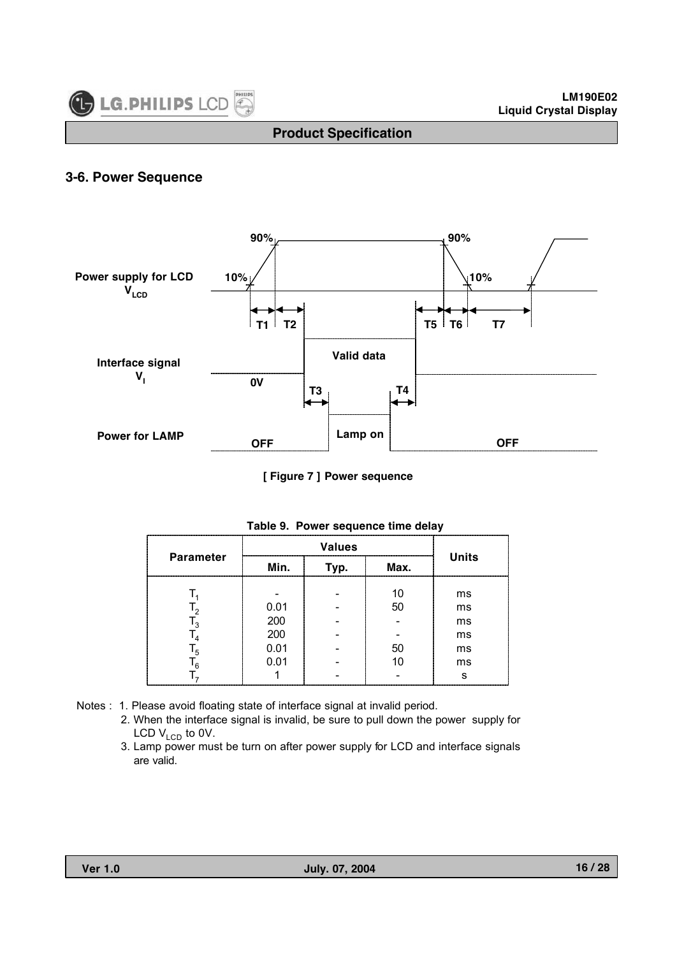

#### **3-6. Power Sequence**



**[ Figure 7 ] Power sequence**

| <b>Parameter</b> | Min. | Typ. | Max. | <b>Units</b> |  |  |
|------------------|------|------|------|--------------|--|--|
|                  |      |      | 10   | ms           |  |  |
|                  | 0.01 |      | 50   | ms           |  |  |
|                  | 200  |      |      | ms           |  |  |
|                  | 200  |      |      | ms           |  |  |
|                  | 0.01 |      | 50   | ms           |  |  |
|                  | 0.01 |      | 10   | ms           |  |  |
|                  |      |      |      | s            |  |  |

|  |  | Table 9. Power sequence time delay |  |  |  |
|--|--|------------------------------------|--|--|--|
|--|--|------------------------------------|--|--|--|

- Notes : 1. Please avoid floating state of interface signal at invalid period.
	- 2. When the interface signal is invalid, be sure to pull down the power supply for LCD  $V_{LCD}$  to 0V.
	- 3. Lamp power must be turn on after power supply for LCD and interface signals are valid.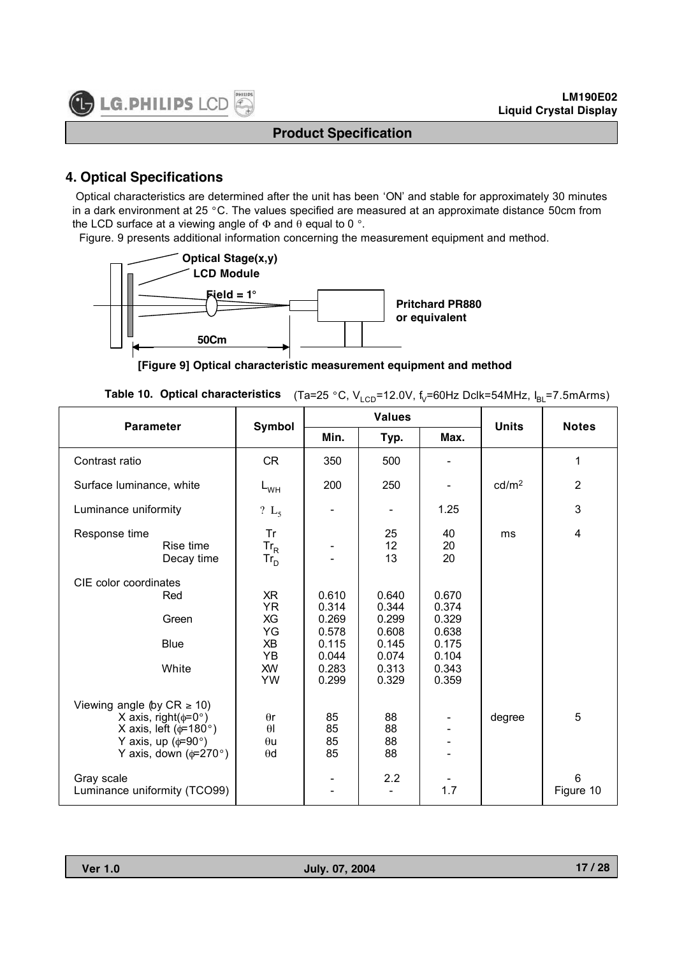## **4. Optical Specifications**

Optical characteristics are determined after the unit has been 'ON' and stable for approximately 30 minutes in a dark environment at 25 °C. The values specified are measured at an approximate distance 50cm from the LCD surface at a viewing angle of  $Φ$  and  $θ$  equal to 0 °.

Figure. 9 presents additional information concerning the measurement equipment and method.



**[Figure 9] Optical characteristic measurement equipment and method**

|  |  | <b>Table 10. Optical characteristics</b> (Ta=25 °C, V <sub>LCD</sub> =12.0V, f <sub>v</sub> =60Hz Dclk=54MHz, $I_{BL}$ =7.5mArms) |
|--|--|-----------------------------------------------------------------------------------------------------------------------------------|
|--|--|-----------------------------------------------------------------------------------------------------------------------------------|

| <b>Parameter</b>                                                                                                                                           | Symbol                                                            |                                                                      | <b>Values</b>                                                        | <b>Units</b>                                                         | <b>Notes</b>      |                              |
|------------------------------------------------------------------------------------------------------------------------------------------------------------|-------------------------------------------------------------------|----------------------------------------------------------------------|----------------------------------------------------------------------|----------------------------------------------------------------------|-------------------|------------------------------|
|                                                                                                                                                            |                                                                   | Min.                                                                 | Typ.                                                                 | Max.                                                                 |                   |                              |
| Contrast ratio                                                                                                                                             | <b>CR</b>                                                         | 350                                                                  | 500                                                                  |                                                                      |                   | 1                            |
| Surface luminance, white                                                                                                                                   | $L_{WH}$                                                          | 200                                                                  | 250                                                                  |                                                                      | cd/m <sup>2</sup> | $\overline{2}$               |
| Luminance uniformity                                                                                                                                       | ? $L_5$                                                           |                                                                      | $\overline{\phantom{a}}$                                             | 1.25                                                                 |                   | 3                            |
| Response time<br>Rise time<br>Decay time                                                                                                                   | Tr<br>$Tr_R$<br>$Tr_D$                                            |                                                                      | 25<br>12<br>13                                                       | 40<br>20<br>20                                                       | ms                | $\overline{\mathbf{4}}$      |
| CIE color coordinates<br>Red<br>Green<br><b>Blue</b><br>White                                                                                              | XR<br><b>YR</b><br>XG<br>YG<br>XB<br>YB<br><b>XW</b><br><b>YW</b> | 0.610<br>0.314<br>0.269<br>0.578<br>0.115<br>0.044<br>0.283<br>0.299 | 0.640<br>0.344<br>0.299<br>0.608<br>0.145<br>0.074<br>0.313<br>0.329 | 0.670<br>0.374<br>0.329<br>0.638<br>0.175<br>0.104<br>0.343<br>0.359 |                   |                              |
| Viewing angle (by $CR \ge 10$ )<br>X axis, right( $\phi$ =0°)<br>X axis, left ( $\phi$ =180°)<br>Y axis, up ( $\phi$ =90°)<br>Y axis, down ( $\phi$ =270°) | $\theta$ r<br>$\theta$<br>$\theta$ u<br>$\theta$ d                | 85<br>85<br>85<br>85                                                 | 88<br>88<br>88<br>88                                                 |                                                                      | degree            | 5                            |
| Gray scale<br>Luminance uniformity (TCO99)                                                                                                                 |                                                                   |                                                                      | 2.2                                                                  | 1.7                                                                  |                   | $6\phantom{1}6$<br>Figure 10 |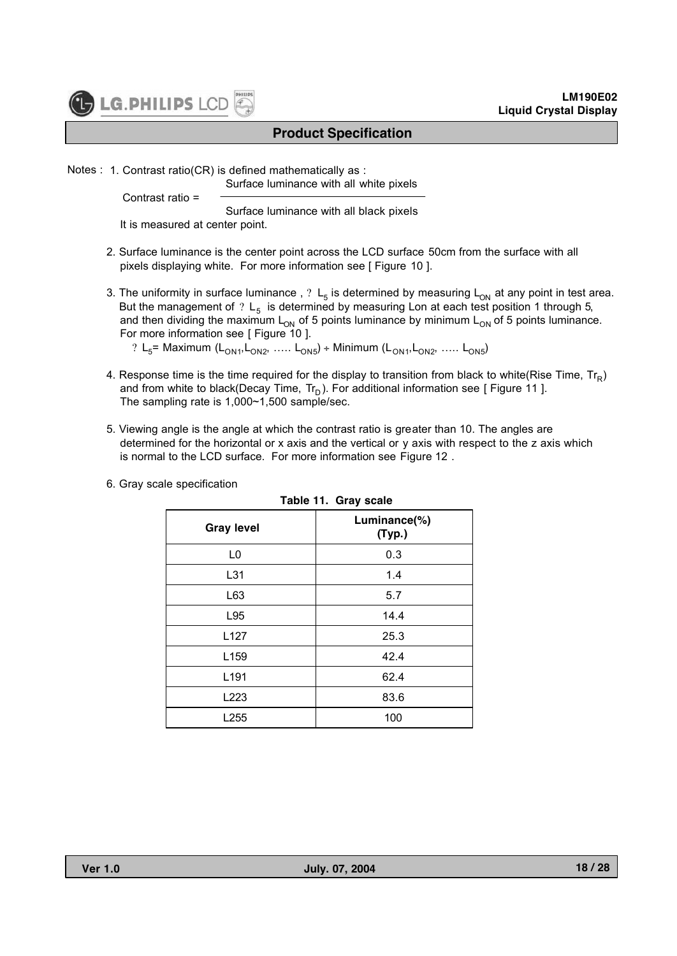

Notes : 1. Contrast ratio(CR) is defined mathematically as :

Surface luminance with all white pixels

Contrast ratio =

Surface luminance with all black pixels

It is measured at center point.

- 2. Surface luminance is the center point across the LCD surface 50cm from the surface with all pixels displaying white. For more information see [ Figure 10 ].
- 3. The uniformity in surface luminance,  $? L_5$  is determined by measuring  $L_{ON}$  at any point in test area. But the management of ?  $L_5$  is determined by measuring Lon at each test position 1 through 5, and then dividing the maximum  $L_{ON}$  of 5 points luminance by minimum  $L_{ON}$  of 5 points luminance. For more information see [ Figure 10 ].

? L<sub>5</sub> Maximum (L<sub>ON1</sub>, L<sub>ON2</sub>, ….. L<sub>ON5</sub>) ÷ Minimum (L<sub>ON1</sub>, L<sub>ON2</sub>, ….. L<sub>ON5</sub>)

- 4. Response time is the time required for the display to transition from black to white(Rise Time,  $Tr_{\rm p}$ ) and from white to black(Decay Time,  $Tr_D$ ). For additional information see [ Figure 11 ]. The sampling rate is 1,000~1,500 sample/sec.
- 5. Viewing angle is the angle at which the contrast ratio is greater than 10. The angles are determined for the horizontal or x axis and the vertical or y axis with respect to the z axis which is normal to the LCD surface. For more information see Figure 12 .

|                   | Table 11. Gray scale   |
|-------------------|------------------------|
| <b>Gray level</b> | Luminance(%)<br>(Typ.) |
| L0                | 0.3                    |
| L31               | 1.4                    |
| L63               | 5.7                    |
| L95               | 14.4                   |
| L127              | 25.3                   |
| L159              | 42.4                   |
| L <sub>191</sub>  | 62.4                   |
| L223              | 83.6                   |
| L255              | 100                    |

6. Gray scale specification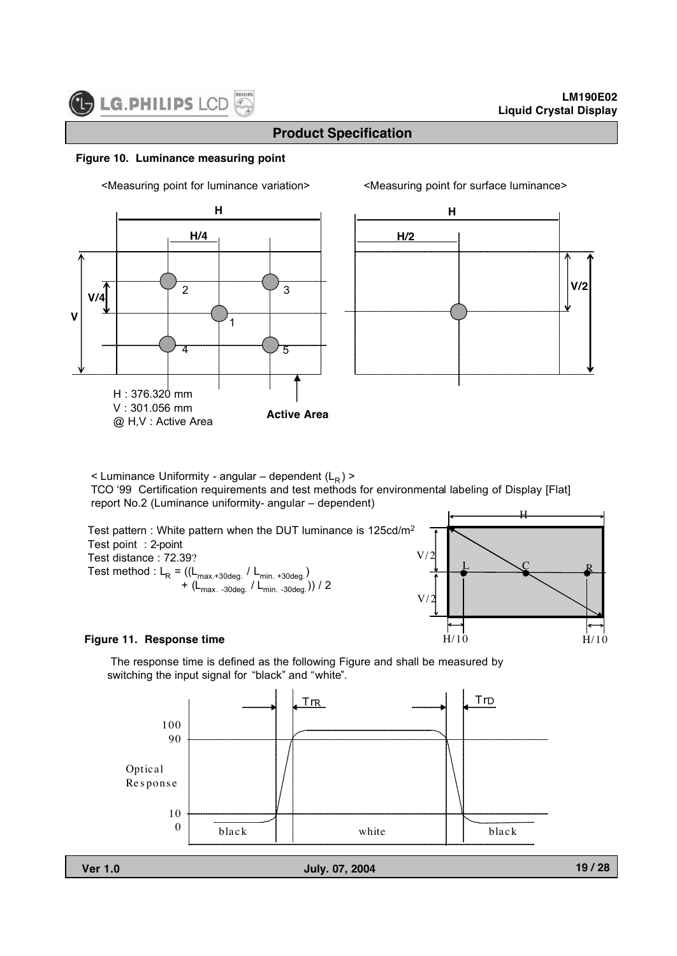**V/4**

**V**

## **Product Specification**

#### **Figure 10. Luminance measuring point**

<Measuring point for luminance variation> <Measuring point for surface luminance>

**H/4**

**H**



 $\leq$  Luminance Uniformity - angular – dependent (L<sub>R</sub>)  $\geq$ 

1

4 |  $\sqrt{5}$ 

2 | Y 3

TCO '99 Certification requirements and test methods for environmental labeling of Display [Flat] report No.2 (Luminance uniformity- angular – dependent)

**Active Area**



#### **Figure 11. Response time**

 $H: 376.320$  mm V : 301.056 mm @ H,V : Active Area

The response time is defined as the following Figure and shall be measured by switching the input signal for "black" and "white".

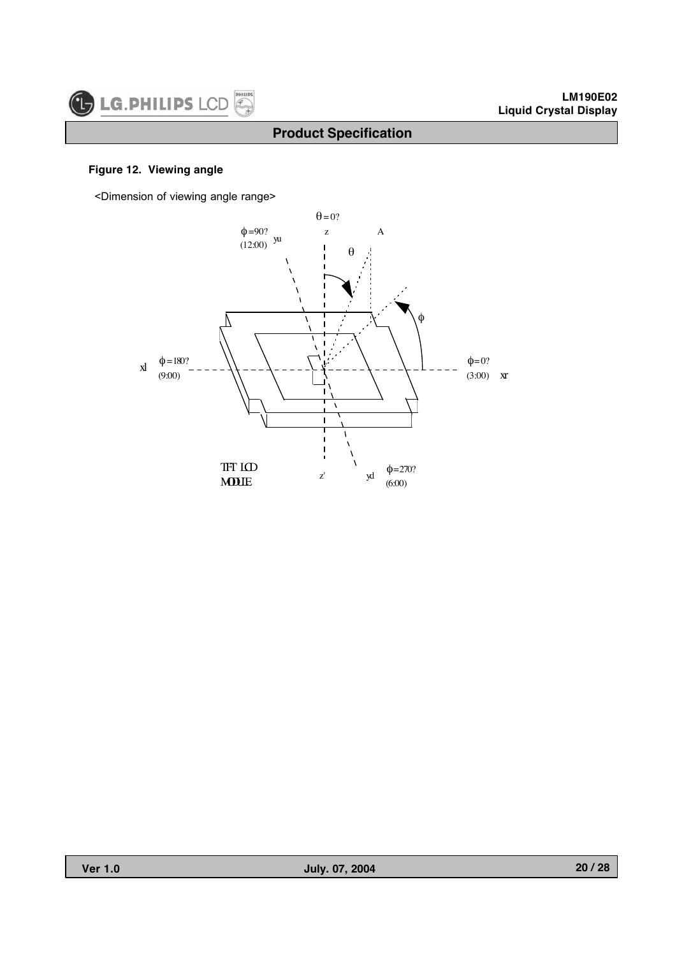

## **Figure 12. Viewing angle**

<Dimension of viewing angle range>

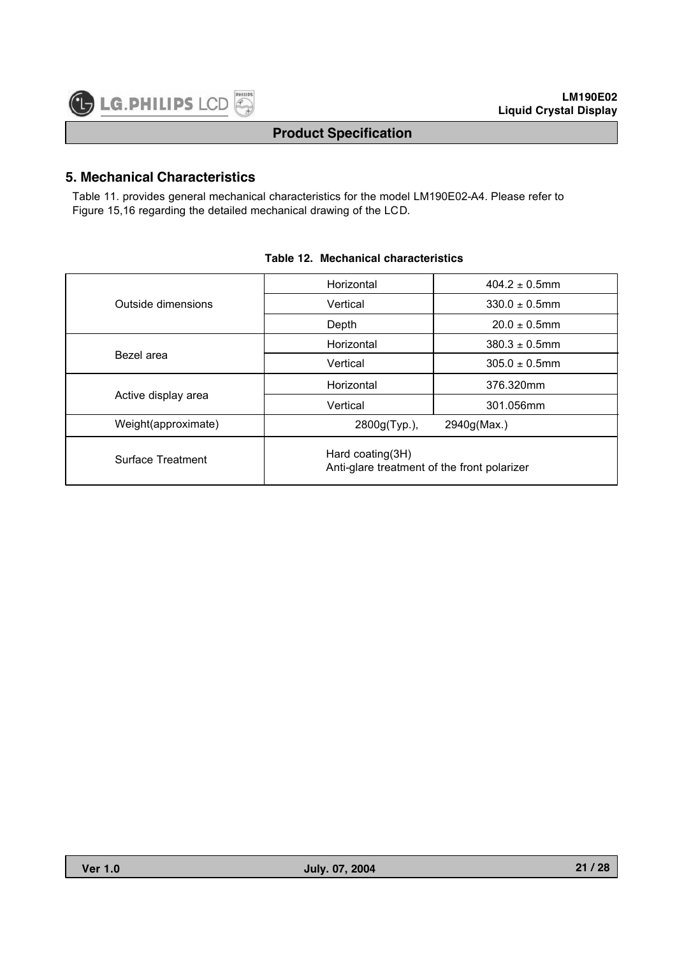## **5. Mechanical Characteristics**

Table 11. provides general mechanical characteristics for the model LM190E02-A4. Please refer to Figure 15,16 regarding the detailed mechanical drawing of the LCD.

|                     | Horizontal                                                      | $404.2 \pm 0.5$ mm |  |  |  |  |  |
|---------------------|-----------------------------------------------------------------|--------------------|--|--|--|--|--|
| Outside dimensions  | Vertical                                                        | $330.0 \pm 0.5$ mm |  |  |  |  |  |
|                     | Depth                                                           | $20.0 \pm 0.5$ mm  |  |  |  |  |  |
|                     | Horizontal                                                      | $380.3 \pm 0.5$ mm |  |  |  |  |  |
| Bezel area          | Vertical                                                        | $305.0 \pm 0.5$ mm |  |  |  |  |  |
|                     | Horizontal                                                      | 376.320mm          |  |  |  |  |  |
| Active display area | Vertical                                                        | 301.056mm          |  |  |  |  |  |
| Weight(approximate) | 2800g(Typ.),                                                    | 2940g(Max.)        |  |  |  |  |  |
| Surface Treatment   | Hard coating(3H)<br>Anti-glare treatment of the front polarizer |                    |  |  |  |  |  |

#### **Table 12. Mechanical characteristics**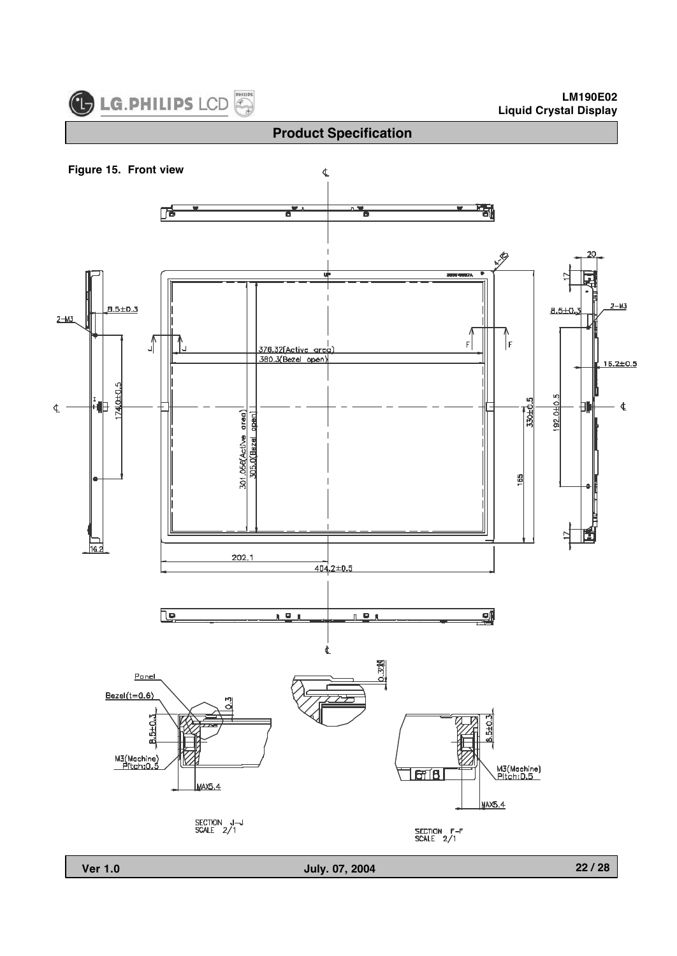

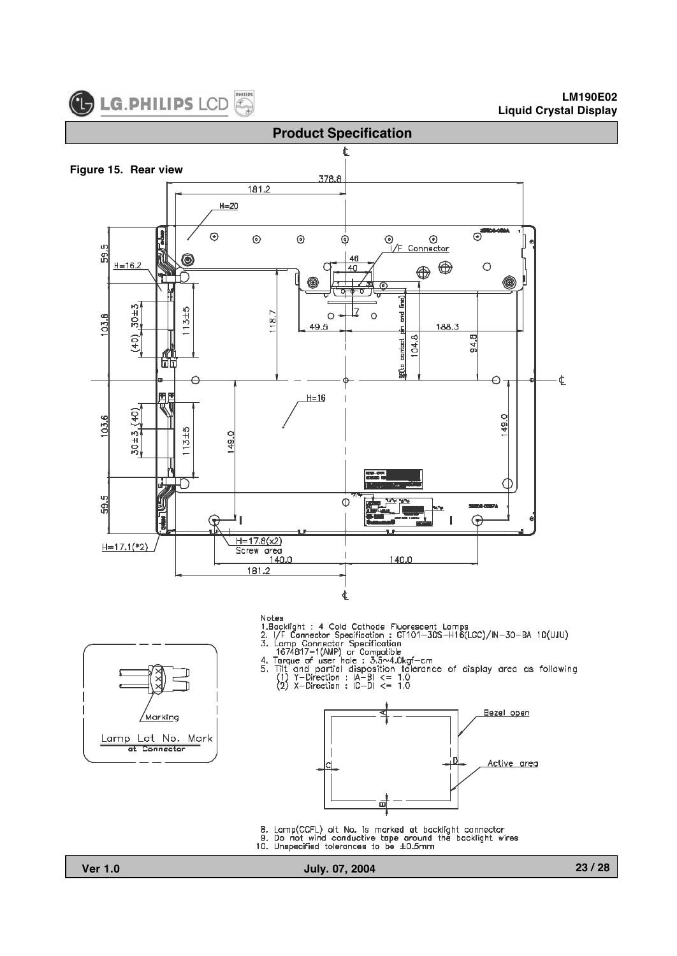



Notes

- 
- 
- 
- 
- 
- Notes<br>
1.Backlight : 4 Cold Cathode Fluorescent Lamps<br>
1.Racklight : 4 Cold Cathode Fluorescent Lamps<br>
2. I/F Connector Specification<br>
3. Lamp Connector Specification<br>
1674817-1(AMP) or Compatible<br>
4. Torque of user hole:





- 8. Lamp(CCFL) olt No. Is marked at backlight connector<br>9. Do not wind conductive tape around the backlight wires 10. Unspecified tolerances to be ±0.5mm
- <sup>'</sup>Marking Lamp Lot No. Mark at Connector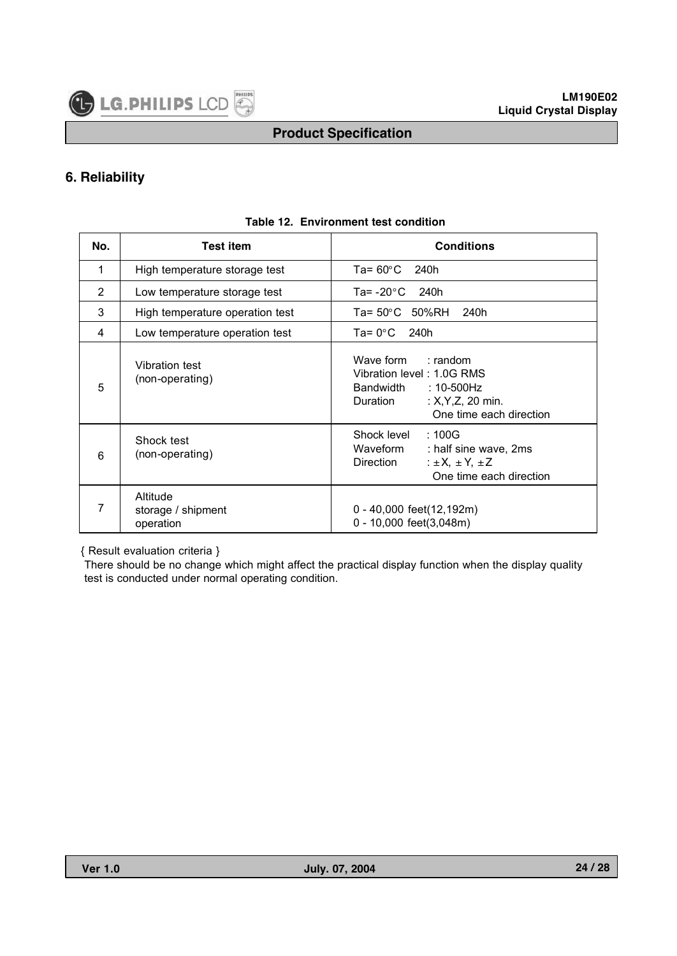

#### **6. Reliability**

| No. | <b>Test item</b>                            | <b>Conditions</b>                                                                                                                        |
|-----|---------------------------------------------|------------------------------------------------------------------------------------------------------------------------------------------|
| 1   | High temperature storage test               | Ta= $60^{\circ}$ C<br>240h                                                                                                               |
| 2   | Low temperature storage test                | Ta= $-20^{\circ}$ C 240h                                                                                                                 |
| 3   | High temperature operation test             | Ta= 50°C 50%RH<br>240h                                                                                                                   |
| 4   | Low temperature operation test              | Ta= $0^{\circ}$ C<br>240h                                                                                                                |
| 5   | Vibration test<br>(non-operating)           | Wave form : random<br>Vibration level: 1.0G RMS<br>Bandwidth<br>:10-500Hz<br>: $X, Y, Z, 20$ min.<br>Duration<br>One time each direction |
| 6   | Shock test<br>(non-operating)               | Shock level<br>:100G<br>Waveform<br>: half sine wave, 2ms<br>$\pm X, \pm Y, \pm Z$<br>Direction<br>One time each direction               |
| 7   | Altitude<br>storage / shipment<br>operation | 0 - 40,000 feet(12,192m)<br>$0 - 10,000$ feet $(3,048m)$                                                                                 |

#### **Table 12. Environment test condition**

{ Result evaluation criteria }

There should be no change which might affect the practical display function when the display quality test is conducted under normal operating condition.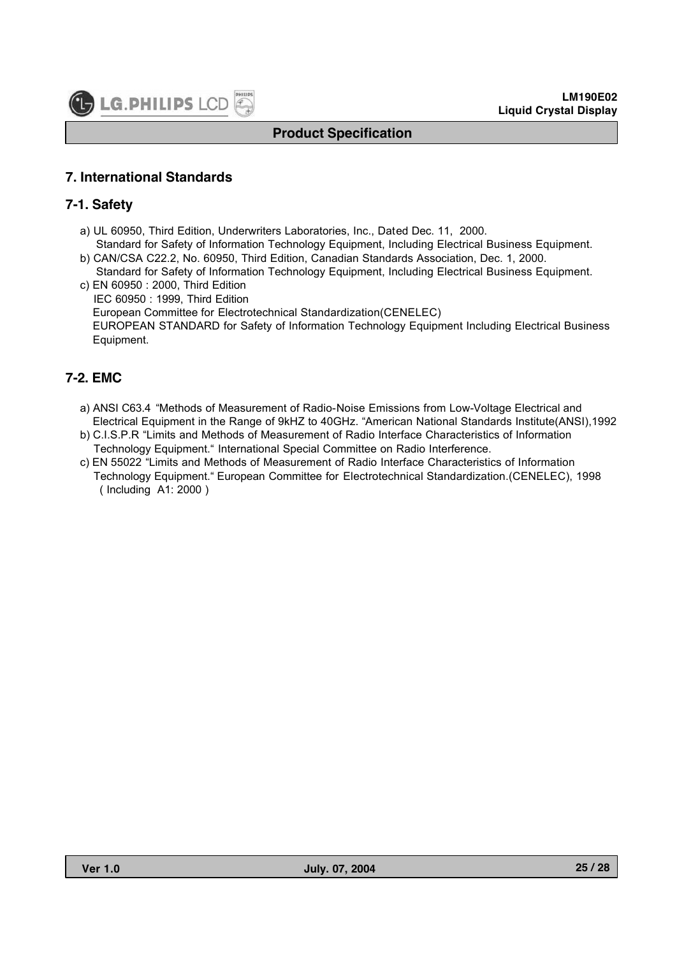# **7. International Standards**

## **7-1. Safety**

- a) UL 60950, Third Edition, Underwriters Laboratories, Inc., Dated Dec. 11, 2000. Standard for Safety of Information Technology Equipment, Including Electrical Business Equipment.
- b) CAN/CSA C22.2, No. 60950, Third Edition, Canadian Standards Association, Dec. 1, 2000. Standard for Safety of Information Technology Equipment, Including Electrical Business Equipment.
- c) EN 60950 : 2000, Third Edition IEC 60950 : 1999, Third Edition European Committee for Electrotechnical Standardization(CENELEC) EUROPEAN STANDARD for Safety of Information Technology Equipment Including Electrical Business Equipment.

## **7-2. EMC**

- a) ANSI C63.4 "Methods of Measurement of Radio-Noise Emissions from Low-Voltage Electrical and Electrical Equipment in the Range of 9kHZ to 40GHz. "American National Standards Institute(ANSI),1992
- b) C.I.S.P.R "Limits and Methods of Measurement of Radio Interface Characteristics of Information Technology Equipment." International Special Committee on Radio Interference.
- c) EN 55022 "Limits and Methods of Measurement of Radio Interface Characteristics of Information Technology Equipment." European Committee for Electrotechnical Standardization.(CENELEC), 1998 ( Including A1: 2000 )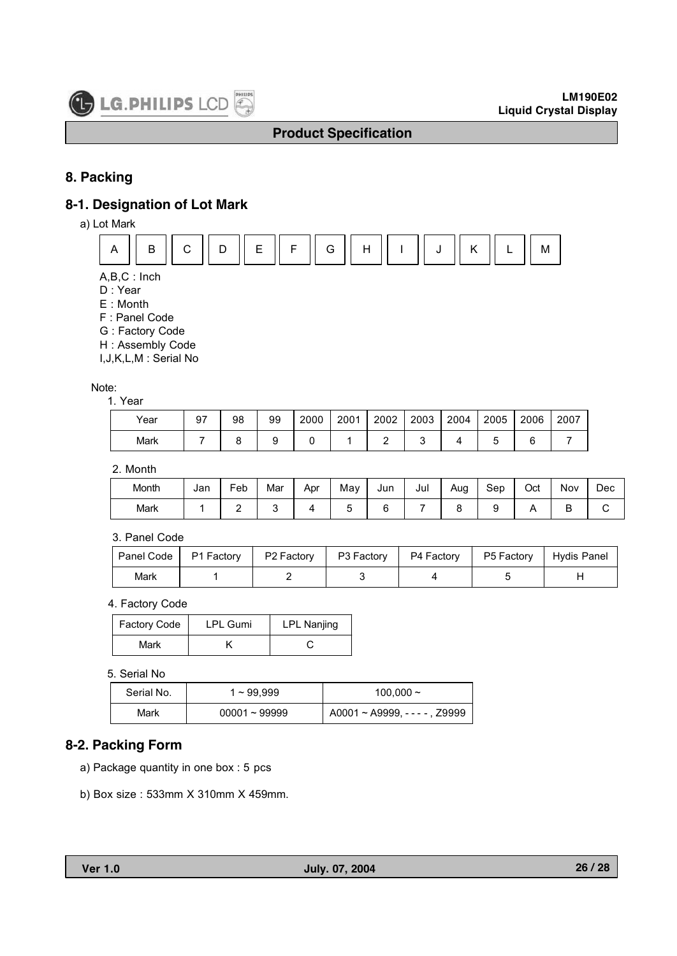

## **8. Packing**

#### **8-1. Designation of Lot Mark**

a) Lot Mark



- A,B,C : Inch
- D : Year
- E : Month
- F : Panel Code
- G : Factory Code
- H : Assembly Code
- I,J,K,L,M : Serial No

#### Note:

#### 1. Year

| Year | 97 | 98 | 99 | 2000 | 2001 | 2002 | 2003 | 2004 | 2005 | 2006 | 2007 |
|------|----|----|----|------|------|------|------|------|------|------|------|
| Mark |    |    |    |      |      |      |      |      |      | ∽    |      |

#### 2. Month

| Month | Jan | Feb | Mar | Apr | May | Jun | Jul | Aug | Sep | Oct | Nov | Dec |
|-------|-----|-----|-----|-----|-----|-----|-----|-----|-----|-----|-----|-----|
| Mark  |     |     |     |     |     |     |     |     |     |     |     |     |

#### 3. Panel Code

|      | Panel Code   P1 Factory | P2 Factory | P3 Factory | P4 Factory | P5 Factory | <sup>1</sup> Hydis Panel |
|------|-------------------------|------------|------------|------------|------------|--------------------------|
| Mark |                         |            |            |            |            |                          |

#### 4. Factory Code

| <b>Factory Code</b> | LPL Gumi | <b>LPL Nanjing</b> |  |
|---------------------|----------|--------------------|--|
| Mark                |          |                    |  |

#### 5. Serial No

| Serial No. | 1~99.999        | 100,000 $\sim$                 |  |
|------------|-----------------|--------------------------------|--|
| Mark       | $00001 - 99999$ | A0001 ~ A9999, - - - - , Z9999 |  |

#### **8-2. Packing Form**

- a) Package quantity in one box : 5 pcs
- b) Box size : 533mm X 310mm X 459mm.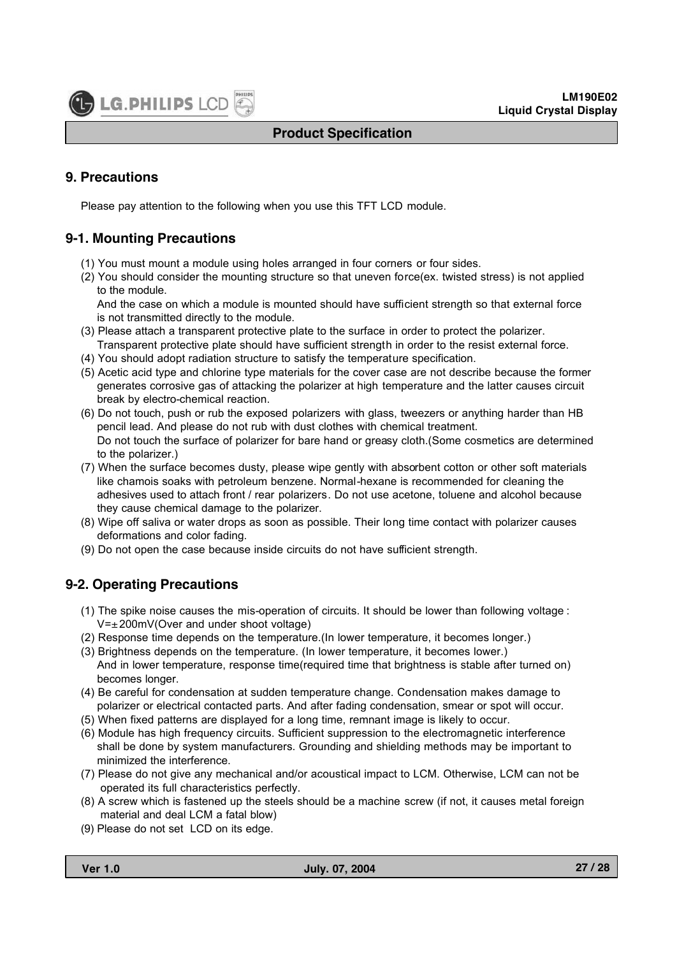

# **9. Precautions**

Please pay attention to the following when you use this TFT LCD module.

# **9-1. Mounting Precautions**

- (1) You must mount a module using holes arranged in four corners or four sides.
- (2) You should consider the mounting structure so that uneven force(ex. twisted stress) is not applied to the module.

And the case on which a module is mounted should have sufficient strength so that external force is not transmitted directly to the module.

- (3) Please attach a transparent protective plate to the surface in order to protect the polarizer. Transparent protective plate should have sufficient strength in order to the resist external force.
- (4) You should adopt radiation structure to satisfy the temperature specification.
- (5) Acetic acid type and chlorine type materials for the cover case are not describe because the former generates corrosive gas of attacking the polarizer at high temperature and the latter causes circuit break by electro-chemical reaction.
- (6) Do not touch, push or rub the exposed polarizers with glass, tweezers or anything harder than HB pencil lead. And please do not rub with dust clothes with chemical treatment. Do not touch the surface of polarizer for bare hand or greasy cloth.(Some cosmetics are determined to the polarizer.)
- (7) When the surface becomes dusty, please wipe gently with absorbent cotton or other soft materials like chamois soaks with petroleum benzene. Normal-hexane is recommended for cleaning the adhesives used to attach front / rear polarizers. Do not use acetone, toluene and alcohol because they cause chemical damage to the polarizer.
- (8) Wipe off saliva or water drops as soon as possible. Their long time contact with polarizer causes deformations and color fading.
- (9) Do not open the case because inside circuits do not have sufficient strength.

# **9-2. Operating Precautions**

- (1) The spike noise causes the mis-operation of circuits. It should be lower than following voltage :  $V=\pm 200$ mV(Over and under shoot voltage)
- (2) Response time depends on the temperature.(In lower temperature, it becomes longer.)
- (3) Brightness depends on the temperature. (In lower temperature, it becomes lower.) And in lower temperature, response time(required time that brightness is stable after turned on) becomes longer.
- (4) Be careful for condensation at sudden temperature change. Condensation makes damage to polarizer or electrical contacted parts. And after fading condensation, smear or spot will occur.
- (5) When fixed patterns are displayed for a long time, remnant image is likely to occur.
- (6) Module has high frequency circuits. Sufficient suppression to the electromagnetic interference shall be done by system manufacturers. Grounding and shielding methods may be important to minimized the interference.
- (7) Please do not give any mechanical and/or acoustical impact to LCM. Otherwise, LCM can not be operated its full characteristics perfectly.
- (8) A screw which is fastened up the steels should be a machine screw (if not, it causes metal foreign material and deal LCM a fatal blow)
- (9) Please do not set LCD on its edge.